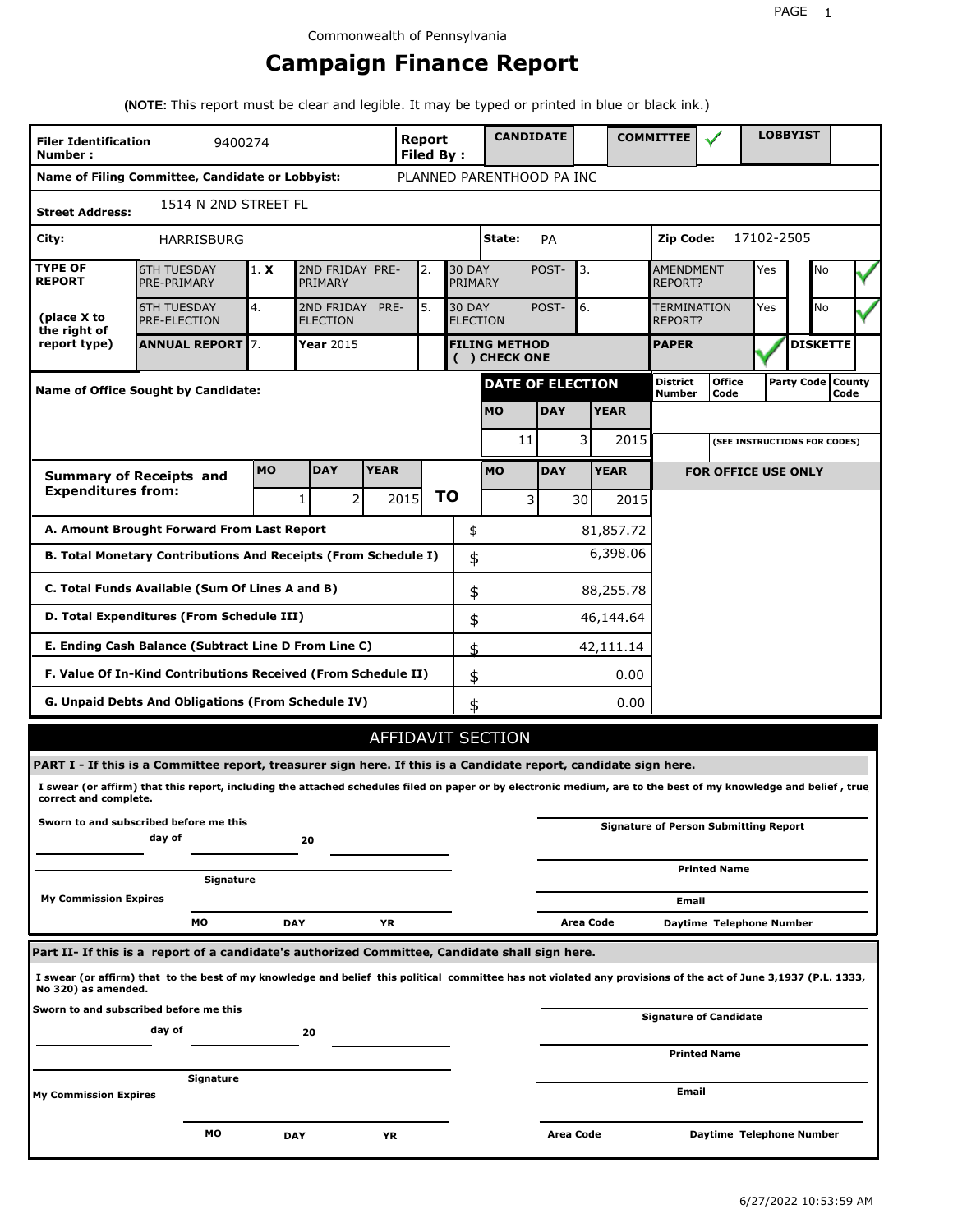# **Campaign Finance Report**

**(NOTE:** This report must be clear and legible. It may be typed or printed in blue or black ink.)

| <b>Filer Identification</b><br>Number: | 9400274                                                                                                                                                         |            |                               |             | Report<br><b>Filed By:</b> |    |                          | <b>CANDIDATE</b>                      |            |           |             | <b>COMMITTEE</b>            |                                              |            | <b>LOBBYIST</b>     |                 |  |
|----------------------------------------|-----------------------------------------------------------------------------------------------------------------------------------------------------------------|------------|-------------------------------|-------------|----------------------------|----|--------------------------|---------------------------------------|------------|-----------|-------------|-----------------------------|----------------------------------------------|------------|---------------------|-----------------|--|
|                                        | Name of Filing Committee, Candidate or Lobbyist:                                                                                                                |            |                               |             |                            |    |                          | PLANNED PARENTHOOD PA INC             |            |           |             |                             |                                              |            |                     |                 |  |
| <b>Street Address:</b>                 | 1514 N 2ND STREET FL                                                                                                                                            |            |                               |             |                            |    |                          |                                       |            |           |             |                             |                                              |            |                     |                 |  |
| City:                                  | <b>HARRISBURG</b>                                                                                                                                               |            |                               |             |                            |    |                          | State:                                | PA         |           |             | Zip Code:                   |                                              | 17102-2505 |                     |                 |  |
| <b>TYPE OF</b><br><b>REPORT</b>        | <b>6TH TUESDAY</b><br>PRE-PRIMARY                                                                                                                               | 1. X       | 2ND FRIDAY PRE-<br>PRIMARY    |             | 2.                         |    | <b>30 DAY</b><br>PRIMARY |                                       | POST-      | 3.        |             | <b>AMENDMENT</b><br>REPORT? |                                              | Yes        |                     | No              |  |
| (place X to<br>the right of            | <b>6TH TUESDAY</b><br><b>PRE-ELECTION</b>                                                                                                                       | 4.         | 2ND FRIDAY<br><b>ELECTION</b> | PRE-        | 5.                         |    | <b>30 DAY</b>            | <b>ELECTION</b>                       | POST-      | 6.        |             | TERMINATION<br>REPORT?      |                                              | Yes        |                     | <b>No</b>       |  |
| report type)                           | <b>ANNUAL REPORT 7.</b>                                                                                                                                         |            | <b>Year 2015</b>              |             |                            |    |                          | <b>FILING METHOD</b><br>( ) CHECK ONE |            |           |             | <b>PAPER</b>                |                                              |            |                     | <b>DISKETTE</b> |  |
|                                        | <b>Name of Office Sought by Candidate:</b>                                                                                                                      |            |                               |             |                            |    |                          | <b>DATE OF ELECTION</b>               |            |           |             | District<br>Number          | <b>Office</b><br>Code                        |            | Party Code   County | Code            |  |
|                                        |                                                                                                                                                                 |            |                               |             |                            |    |                          | <b>MO</b>                             | <b>DAY</b> |           | <b>YEAR</b> |                             |                                              |            |                     |                 |  |
|                                        |                                                                                                                                                                 |            |                               |             |                            |    |                          | 11                                    |            | 3         | 2015        |                             | (SEE INSTRUCTIONS FOR CODES)                 |            |                     |                 |  |
|                                        | <b>Summary of Receipts and</b>                                                                                                                                  | <b>MO</b>  | <b>DAY</b>                    | <b>YEAR</b> |                            |    |                          | <b>MO</b>                             | <b>DAY</b> |           | <b>YEAR</b> |                             | <b>FOR OFFICE USE ONLY</b>                   |            |                     |                 |  |
| <b>Expenditures from:</b>              |                                                                                                                                                                 |            | 2 <sup>1</sup><br>1           |             | 2015                       | ΤO |                          | 3                                     |            | 30        | 2015        |                             |                                              |            |                     |                 |  |
|                                        | A. Amount Brought Forward From Last Report                                                                                                                      |            |                               |             |                            |    | \$                       |                                       |            |           | 81,857.72   |                             |                                              |            |                     |                 |  |
|                                        | B. Total Monetary Contributions And Receipts (From Schedule I)                                                                                                  |            |                               |             |                            |    | \$                       |                                       |            |           | 6,398.06    |                             |                                              |            |                     |                 |  |
|                                        | C. Total Funds Available (Sum Of Lines A and B)                                                                                                                 |            |                               |             |                            |    | \$                       |                                       |            |           | 88,255.78   |                             |                                              |            |                     |                 |  |
|                                        | D. Total Expenditures (From Schedule III)                                                                                                                       |            |                               |             |                            |    | \$                       |                                       |            |           | 46,144.64   |                             |                                              |            |                     |                 |  |
|                                        | E. Ending Cash Balance (Subtract Line D From Line C)                                                                                                            |            |                               |             |                            |    | \$                       |                                       |            |           | 42,111.14   |                             |                                              |            |                     |                 |  |
|                                        | F. Value Of In-Kind Contributions Received (From Schedule II)                                                                                                   |            |                               |             |                            |    | \$                       |                                       |            |           | 0.00        |                             |                                              |            |                     |                 |  |
|                                        | G. Unpaid Debts And Obligations (From Schedule IV)                                                                                                              |            |                               |             |                            |    | \$                       |                                       |            |           | 0.00        |                             |                                              |            |                     |                 |  |
|                                        |                                                                                                                                                                 |            |                               |             |                            |    |                          | AFFIDAVIT SECTION                     |            |           |             |                             |                                              |            |                     |                 |  |
|                                        | PART I - If this is a Committee report, treasurer sign here. If this is a Candidate report, candidate sign here.                                                |            |                               |             |                            |    |                          |                                       |            |           |             |                             |                                              |            |                     |                 |  |
| correct and complete.                  | I swear (or affirm) that this report, including the attached schedules filed on paper or by electronic medium, are to the best of my knowledge and belief, true |            |                               |             |                            |    |                          |                                       |            |           |             |                             |                                              |            |                     |                 |  |
|                                        | Sworn to and subscribed before me this<br>day of                                                                                                                |            | 20                            |             |                            |    |                          |                                       |            |           |             |                             | <b>Signature of Person Submitting Report</b> |            |                     |                 |  |
|                                        | Signature                                                                                                                                                       |            |                               |             |                            |    |                          |                                       |            |           |             |                             | <b>Printed Name</b>                          |            |                     |                 |  |
| <b>My Commission Expires</b>           |                                                                                                                                                                 |            |                               |             |                            |    |                          |                                       |            |           |             | Email                       |                                              |            |                     |                 |  |
|                                        | МO                                                                                                                                                              | <b>DAY</b> |                               | ΥR          |                            |    |                          |                                       |            | Area Code |             |                             | Daytime Telephone Number                     |            |                     |                 |  |
|                                        | Part II- If this is a report of a candidate's authorized Committee, Candidate shall sign here.                                                                  |            |                               |             |                            |    |                          |                                       |            |           |             |                             |                                              |            |                     |                 |  |
| No 320) as amended.                    | I swear (or affirm) that to the best of my knowledge and belief this political committee has not violated any provisions of the act of June 3,1937 (P.L. 1333,  |            |                               |             |                            |    |                          |                                       |            |           |             |                             |                                              |            |                     |                 |  |
|                                        | Sworn to and subscribed before me this<br>day of                                                                                                                |            | 20                            |             |                            |    |                          |                                       |            |           |             |                             | <b>Signature of Candidate</b>                |            |                     |                 |  |
|                                        |                                                                                                                                                                 |            |                               |             |                            |    |                          |                                       |            |           |             |                             | <b>Printed Name</b>                          |            |                     |                 |  |
| <b>My Commission Expires</b>           | Signature                                                                                                                                                       |            |                               |             |                            |    |                          |                                       |            |           |             | Email                       |                                              |            |                     |                 |  |
|                                        | мо                                                                                                                                                              | <b>DAY</b> |                               | ΥR          |                            |    |                          |                                       | Area Code  |           |             |                             | Daytime Telephone Number                     |            |                     |                 |  |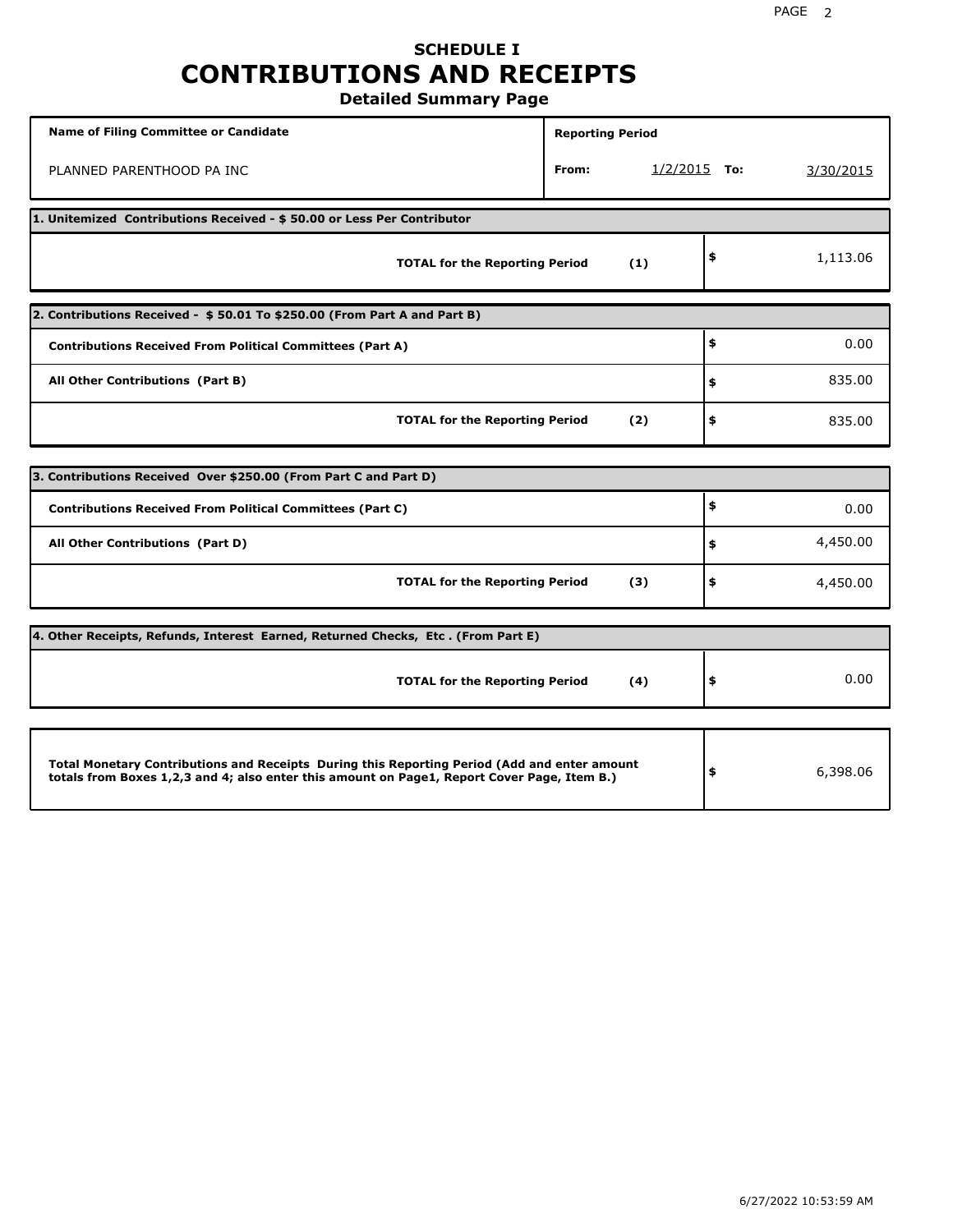## **SCHEDULE I CONTRIBUTIONS AND RECEIPTS Detailed Summary Page**

**Name of Filing Committee or Candidate Reporting Period Reporting Period** PLANNED PARENTHOOD PA INC **From:** 1/2/2015 **To:** 3/30/2015 **1. Unitemized Contributions Received - \$ 50.00 or Less Per Contributor TOTAL for the Reporting Period (1) \$** 1,113.06 **2. Contributions Received - \$ 50.01 To \$250.00 (From Part A and Part B) TOTAL for the Reporting Period (2) Contributions Received From Political Committees (Part A) All Other Contributions (Part B) \$ \$ \$** 0.00 835.00 835.00 **3. Contributions Received Over \$250.00 (From Part C and Part D) TOTAL for the Reporting Period (3) Contributions Received From Political Committees (Part C) All Other Contributions (Part D) \$ \$ \$** 0.00 4,450.00 4,450.00 **4. Other Receipts, Refunds, Interest Earned, Returned Checks, Etc . (From Part E) TOTAL for the Reporting Period (4) \$** 0.00 **Total Monetary Contributions and Receipts During this Reporting Period (Add and enter amount totals from Boxes 1,2,3 and 4; also enter this amount on Page1, Report Cover Page, Item B.) \$** 6,398.06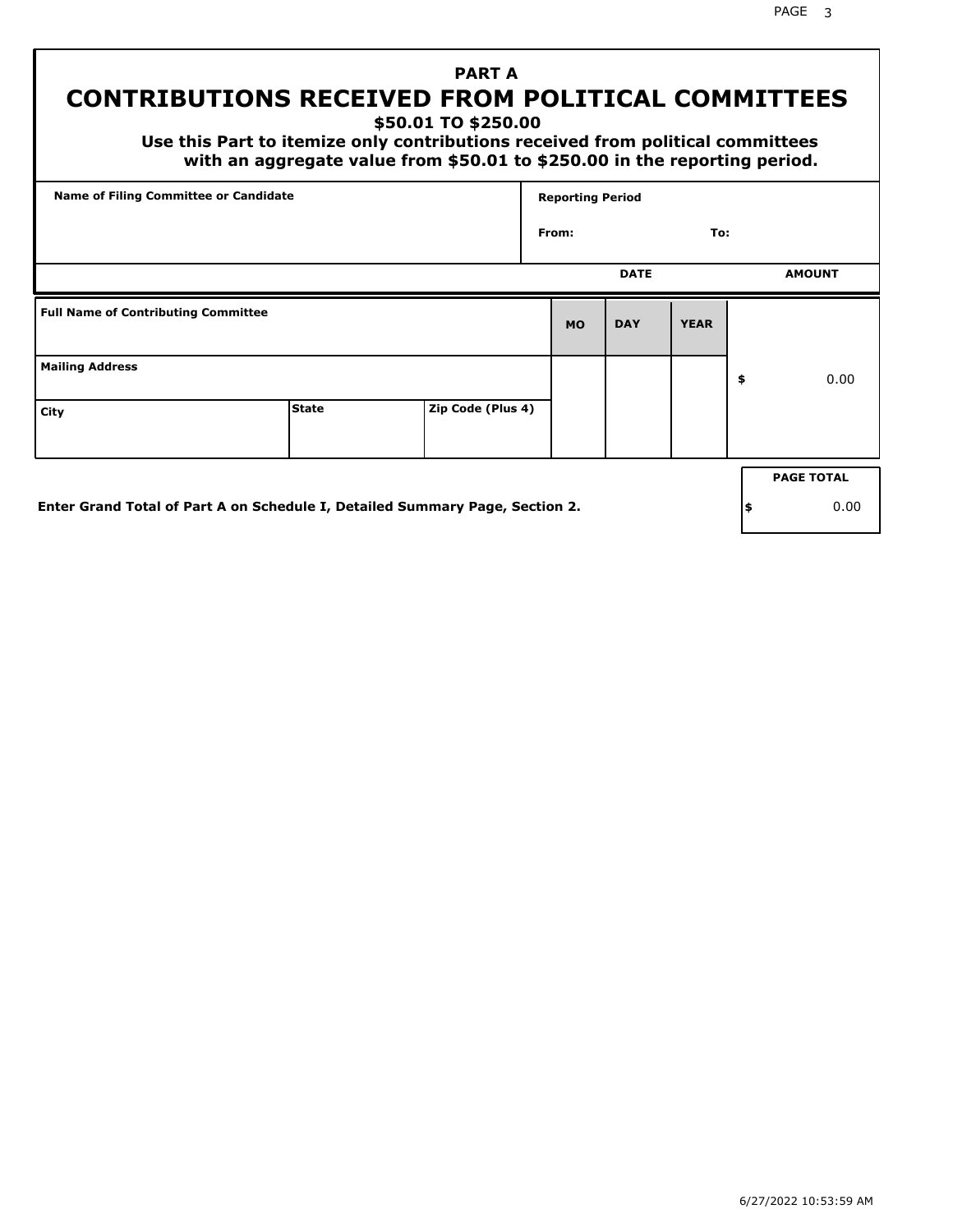PAGE 3

# **PART A CONTRIBUTIONS RECEIVED FROM POLITICAL COMMITTEES**

**\$50.01 TO \$250.00**

 **Use this Part to itemize only contributions received from political committees with an aggregate value from \$50.01 to \$250.00 in the reporting period.**

| Name of Filing Committee or Candidate      |                                                                              |                   | <b>Reporting Period</b> |             |             |     |                   |
|--------------------------------------------|------------------------------------------------------------------------------|-------------------|-------------------------|-------------|-------------|-----|-------------------|
|                                            |                                                                              |                   | From:                   |             | To:         |     |                   |
|                                            |                                                                              |                   |                         | <b>DATE</b> |             |     | <b>AMOUNT</b>     |
| <b>Full Name of Contributing Committee</b> |                                                                              |                   | <b>MO</b>               | <b>DAY</b>  | <b>YEAR</b> |     |                   |
| <b>Mailing Address</b>                     |                                                                              |                   |                         |             |             | \$  | 0.00              |
| City                                       | <b>State</b>                                                                 | Zip Code (Plus 4) |                         |             |             |     |                   |
|                                            |                                                                              |                   |                         |             |             |     | <b>PAGE TOTAL</b> |
|                                            | Enter Grand Total of Part A on Schedule I, Detailed Summary Page, Section 2. |                   |                         |             |             | ∣\$ | 0.00              |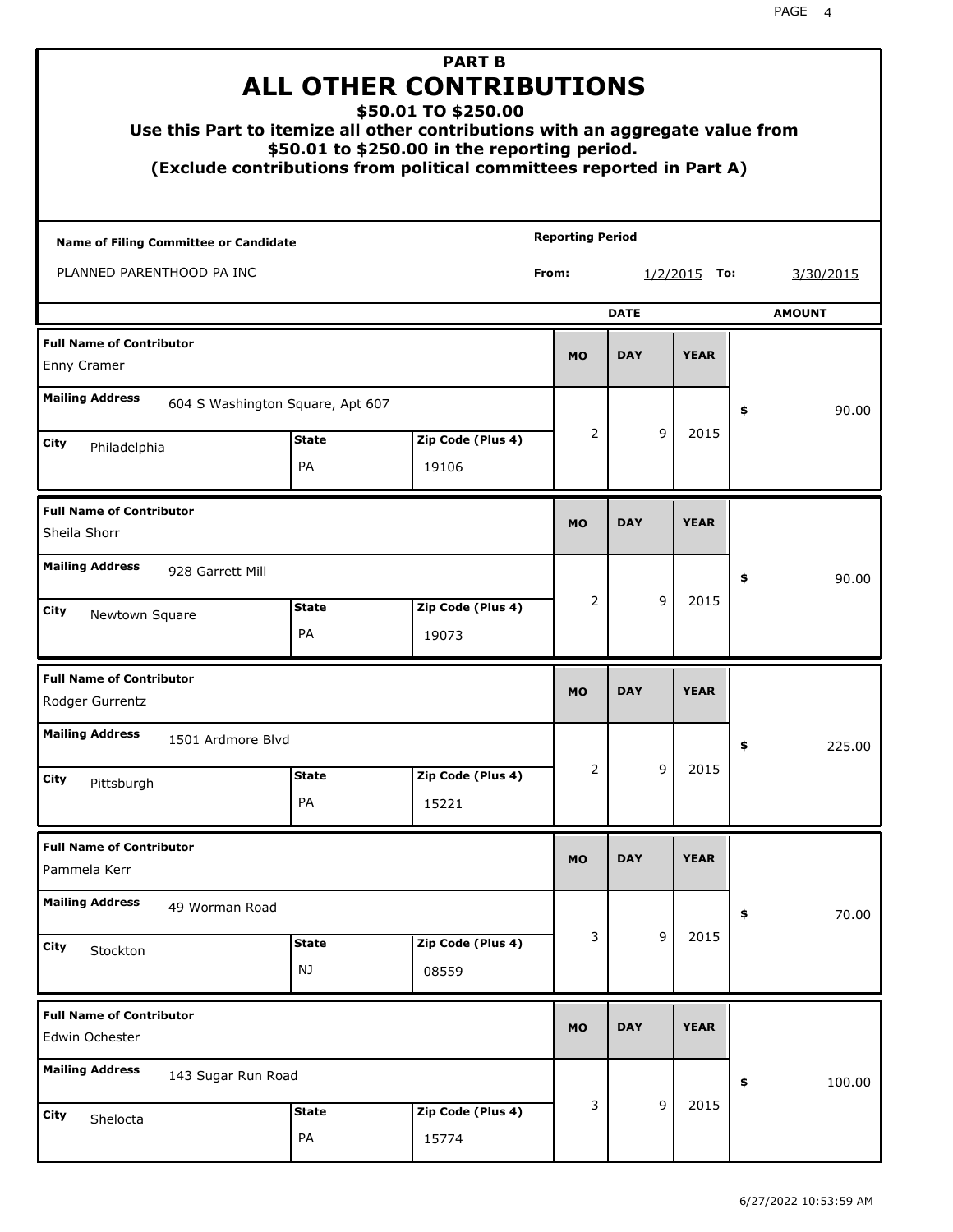| Use this Part to itemize all other contributions with an aggregate value from<br>(Exclude contributions from political committees reported in Part A) |                    | <b>PART B</b><br><b>ALL OTHER CONTRIBUTIONS</b><br>\$50.01 TO \$250.00<br>\$50.01 to \$250.00 in the reporting period. |                         |             |                |               |
|-------------------------------------------------------------------------------------------------------------------------------------------------------|--------------------|------------------------------------------------------------------------------------------------------------------------|-------------------------|-------------|----------------|---------------|
| Name of Filing Committee or Candidate                                                                                                                 |                    |                                                                                                                        | <b>Reporting Period</b> |             |                |               |
| PLANNED PARENTHOOD PA INC                                                                                                                             |                    |                                                                                                                        | From:                   |             | $1/2/2015$ To: | 3/30/2015     |
|                                                                                                                                                       |                    |                                                                                                                        |                         | <b>DATE</b> |                | <b>AMOUNT</b> |
| <b>Full Name of Contributor</b><br>Enny Cramer                                                                                                        |                    |                                                                                                                        | <b>MO</b>               | <b>DAY</b>  | <b>YEAR</b>    |               |
| <b>Mailing Address</b><br>604 S Washington Square, Apt 607                                                                                            |                    |                                                                                                                        |                         |             |                | \$<br>90.00   |
| City                                                                                                                                                  | <b>State</b>       | Zip Code (Plus 4)                                                                                                      | 2                       | 9           | 2015           |               |
| Philadelphia                                                                                                                                          | PA                 | 19106                                                                                                                  |                         |             |                |               |
| <b>Full Name of Contributor</b><br>Sheila Shorr                                                                                                       |                    |                                                                                                                        | <b>MO</b>               | <b>DAY</b>  | <b>YEAR</b>    |               |
| <b>Mailing Address</b><br>928 Garrett Mill                                                                                                            |                    |                                                                                                                        |                         |             |                | \$<br>90.00   |
| City<br>Newtown Square                                                                                                                                | <b>State</b><br>PA | Zip Code (Plus 4)<br>19073                                                                                             | 2                       | 9           | 2015           |               |
| <b>Full Name of Contributor</b><br>Rodger Gurrentz                                                                                                    |                    |                                                                                                                        | <b>MO</b>               | <b>DAY</b>  | <b>YEAR</b>    |               |
| <b>Mailing Address</b><br>1501 Ardmore Blvd                                                                                                           |                    |                                                                                                                        |                         |             |                | 225.00<br>÷,  |
| <b>City</b><br>Pittsburgh                                                                                                                             | <b>State</b>       | Zip Code (Plus 4)                                                                                                      | 2                       | 9           | 2015           |               |
|                                                                                                                                                       | PA                 | 15221                                                                                                                  |                         |             |                |               |
| <b>Full Name of Contributor</b><br>Pammela Kerr                                                                                                       |                    |                                                                                                                        | <b>MO</b>               | <b>DAY</b>  | <b>YEAR</b>    |               |
| <b>Mailing Address</b><br>49 Worman Road                                                                                                              |                    |                                                                                                                        |                         |             |                | 70.00<br>\$   |
| City<br>Stockton                                                                                                                                      | <b>State</b><br>NJ | Zip Code (Plus 4)<br>08559                                                                                             | 3                       | 9           | 2015           |               |
| <b>Full Name of Contributor</b><br>Edwin Ochester                                                                                                     |                    |                                                                                                                        | <b>MO</b>               | <b>DAY</b>  | <b>YEAR</b>    |               |
| <b>Mailing Address</b><br>143 Sugar Run Road                                                                                                          |                    |                                                                                                                        |                         |             |                | \$<br>100.00  |
| City<br>Shelocta                                                                                                                                      | <b>State</b><br>PA | Zip Code (Plus 4)<br>15774                                                                                             | 3                       | 9           | 2015           |               |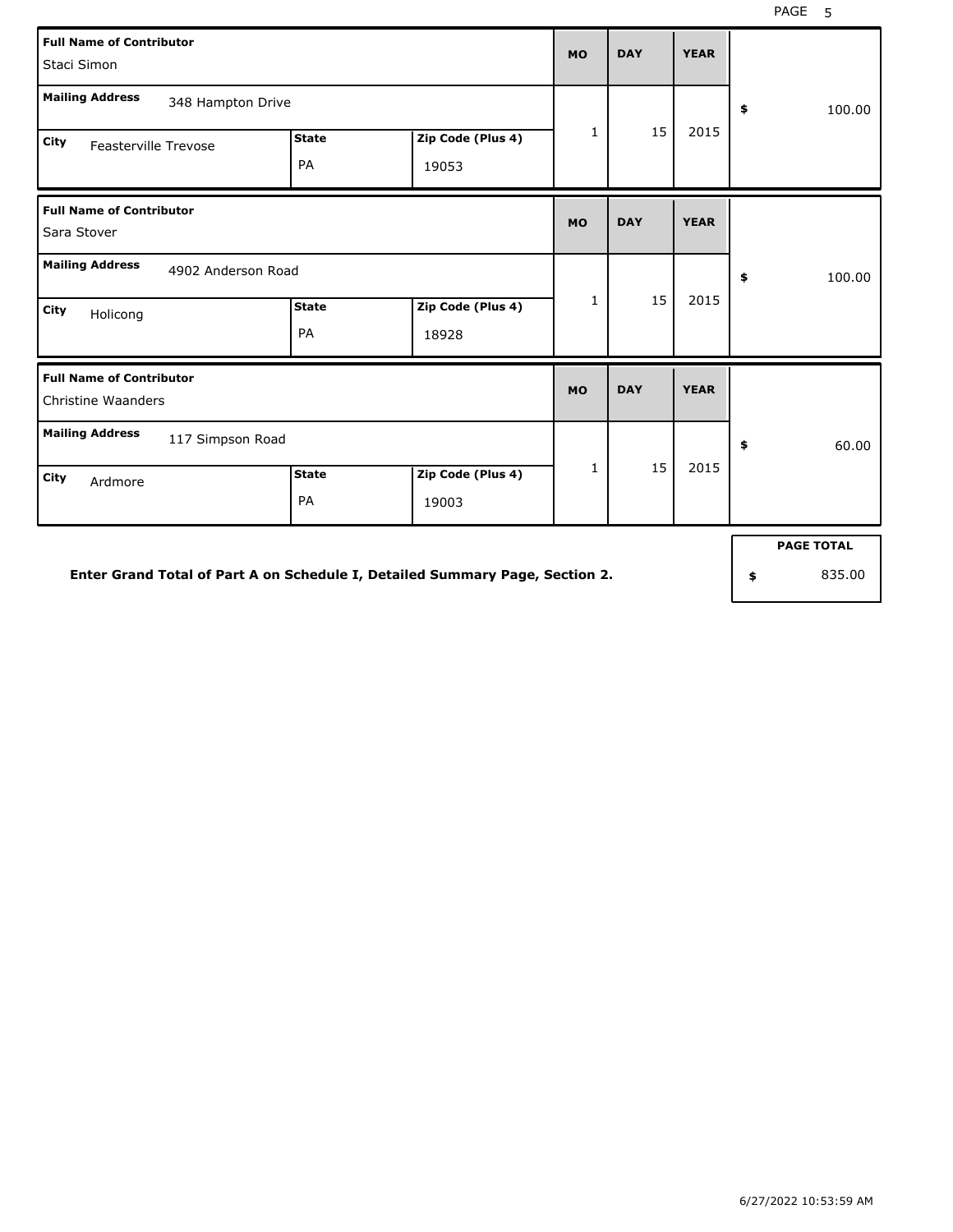| <b>Full Name of Contributor</b><br>Staci Simon               |                    |                            | <b>MO</b>    | <b>DAY</b> | <b>YEAR</b> |                   |
|--------------------------------------------------------------|--------------------|----------------------------|--------------|------------|-------------|-------------------|
| <b>Mailing Address</b><br>348 Hampton Drive                  |                    |                            |              |            |             | \$<br>100.00      |
| <b>City</b><br>Feasterville Trevose                          | <b>State</b><br>PA | Zip Code (Plus 4)<br>19053 | 1            | 15         | 2015        |                   |
| <b>Full Name of Contributor</b><br>Sara Stover               |                    |                            | <b>MO</b>    | <b>DAY</b> | <b>YEAR</b> |                   |
| <b>Mailing Address</b><br>4902 Anderson Road                 |                    |                            |              |            |             | 100.00<br>\$      |
| City<br>Holicong                                             | <b>State</b><br>PA | Zip Code (Plus 4)<br>18928 | $\mathbf{1}$ | 15         | 2015        |                   |
| <b>Full Name of Contributor</b><br><b>Christine Waanders</b> |                    |                            | <b>MO</b>    | <b>DAY</b> | <b>YEAR</b> |                   |
| <b>Mailing Address</b><br>117 Simpson Road                   |                    |                            |              |            |             | 60.00<br>\$       |
| City<br>Ardmore                                              | <b>State</b><br>PA | Zip Code (Plus 4)<br>19003 | 1            | 15         | 2015        |                   |
|                                                              |                    |                            |              |            |             | <b>PAGE TOTAL</b> |

**Enter Grand Total of Part A on Schedule I, Detailed Summary Page, Section 2.**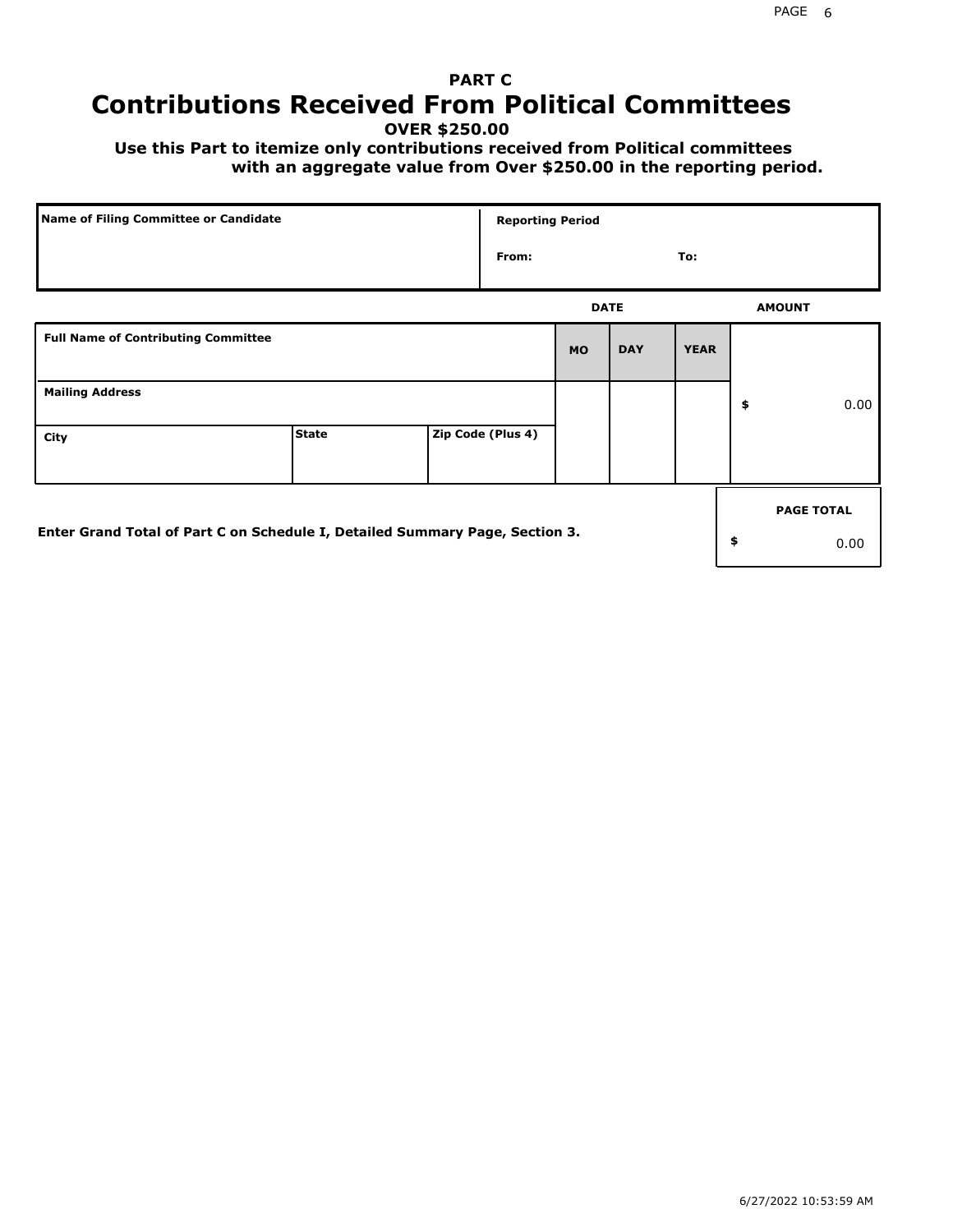# **PART C Contributions Received From Political Committees**

**OVER \$250.00**

 **Use this Part to itemize only contributions received from Political committees with an aggregate value from Over \$250.00 in the reporting period.**

| Name of Filing Committee or Candidate                                        |              | <b>Reporting Period</b> |             |            |             |                   |
|------------------------------------------------------------------------------|--------------|-------------------------|-------------|------------|-------------|-------------------|
|                                                                              |              | From:                   |             |            | To:         |                   |
|                                                                              |              |                         | <b>DATE</b> |            |             | <b>AMOUNT</b>     |
| <b>Full Name of Contributing Committee</b>                                   |              |                         | <b>MO</b>   | <b>DAY</b> | <b>YEAR</b> |                   |
| <b>Mailing Address</b>                                                       |              |                         |             |            |             | \$<br>0.00        |
| City                                                                         | <b>State</b> | Zip Code (Plus 4)       |             |            |             |                   |
|                                                                              |              |                         |             |            |             | <b>PAGE TOTAL</b> |
| Enter Grand Total of Part C on Schedule I, Detailed Summary Page, Section 3. |              |                         |             |            |             | \$<br>0.00        |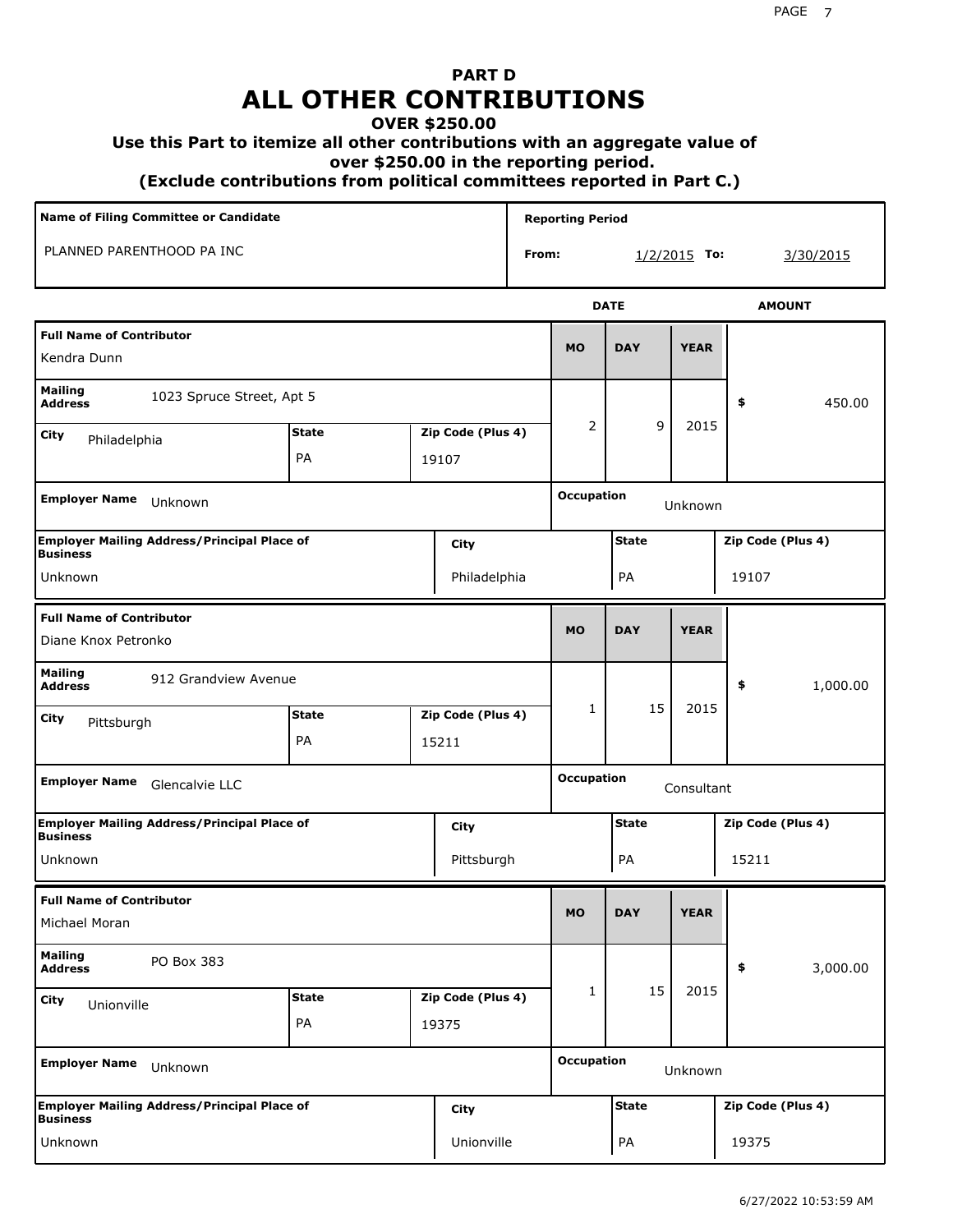# **PART D ALL OTHER CONTRIBUTIONS**

#### **OVER \$250.00**

#### **Use this Part to itemize all other contributions with an aggregate value of**

 **over \$250.00 in the reporting period.**

 **(Exclude contributions from political committees reported in Part C.)** 

| Name of Filing Committee or Candidate                                 |              |       |                   |       | <b>Reporting Period</b> |              |                |                   |           |
|-----------------------------------------------------------------------|--------------|-------|-------------------|-------|-------------------------|--------------|----------------|-------------------|-----------|
| PLANNED PARENTHOOD PA INC                                             |              |       |                   | From: |                         |              | $1/2/2015$ To: |                   | 3/30/2015 |
|                                                                       |              |       |                   |       |                         | <b>DATE</b>  |                | <b>AMOUNT</b>     |           |
| <b>Full Name of Contributor</b><br>Kendra Dunn                        |              |       |                   |       | <b>MO</b>               | <b>DAY</b>   | <b>YEAR</b>    |                   |           |
| <b>Mailing</b><br>1023 Spruce Street, Apt 5<br><b>Address</b>         |              |       |                   |       |                         |              |                | \$                | 450.00    |
| City<br>Philadelphia                                                  | <b>State</b> |       | Zip Code (Plus 4) |       | 2                       | 9            | 2015           |                   |           |
|                                                                       | PA           | 19107 |                   |       |                         |              |                |                   |           |
| <b>Employer Name</b><br>Unknown                                       |              |       |                   |       | <b>Occupation</b>       |              | Unknown        |                   |           |
| <b>Employer Mailing Address/Principal Place of</b><br>Business        |              |       | City              |       |                         | <b>State</b> |                | Zip Code (Plus 4) |           |
| Unknown                                                               |              |       | Philadelphia      |       |                         | PA           |                | 19107             |           |
| <b>Full Name of Contributor</b><br>Diane Knox Petronko                |              |       |                   |       | <b>MO</b>               | <b>DAY</b>   | <b>YEAR</b>    |                   |           |
| <b>Mailing</b><br>912 Grandview Avenue<br><b>Address</b>              |              |       |                   |       |                         |              |                | \$                | 1,000.00  |
| City<br>Pittsburgh                                                    | <b>State</b> |       | Zip Code (Plus 4) |       | 1                       | 15           | 2015           |                   |           |
|                                                                       | PA           | 15211 |                   |       |                         |              |                |                   |           |
| Employer Name Glencalvie LLC                                          |              |       |                   |       | <b>Occupation</b>       |              | Consultant     |                   |           |
| <b>Employer Mailing Address/Principal Place of</b><br><b>Business</b> |              |       | City              |       |                         | <b>State</b> |                | Zip Code (Plus 4) |           |
| Unknown                                                               |              |       | Pittsburgh        |       |                         | PA           |                | 15211             |           |
| <b>Full Name of Contributor</b><br>Michael Moran                      |              |       |                   |       | <b>MO</b>               | <b>DAY</b>   | <b>YEAR</b>    |                   |           |
|                                                                       |              |       |                   |       |                         |              |                |                   |           |
| <b>Mailing</b><br>PO Box 383<br><b>Address</b>                        |              |       |                   |       |                         |              |                | \$                | 3,000.00  |
| City<br>Unionville                                                    | <b>State</b> |       | Zip Code (Plus 4) |       | 1                       | 15           | 2015           |                   |           |
|                                                                       | PA           | 19375 |                   |       |                         |              |                |                   |           |
| <b>Employer Name</b><br>Unknown                                       |              |       |                   |       | <b>Occupation</b>       |              | Unknown        |                   |           |
| Employer Mailing Address/Principal Place of<br> Business              |              |       | City              |       |                         | <b>State</b> |                | Zip Code (Plus 4) |           |
| Unknown                                                               |              |       | Unionville        |       |                         | PA           |                | 19375             |           |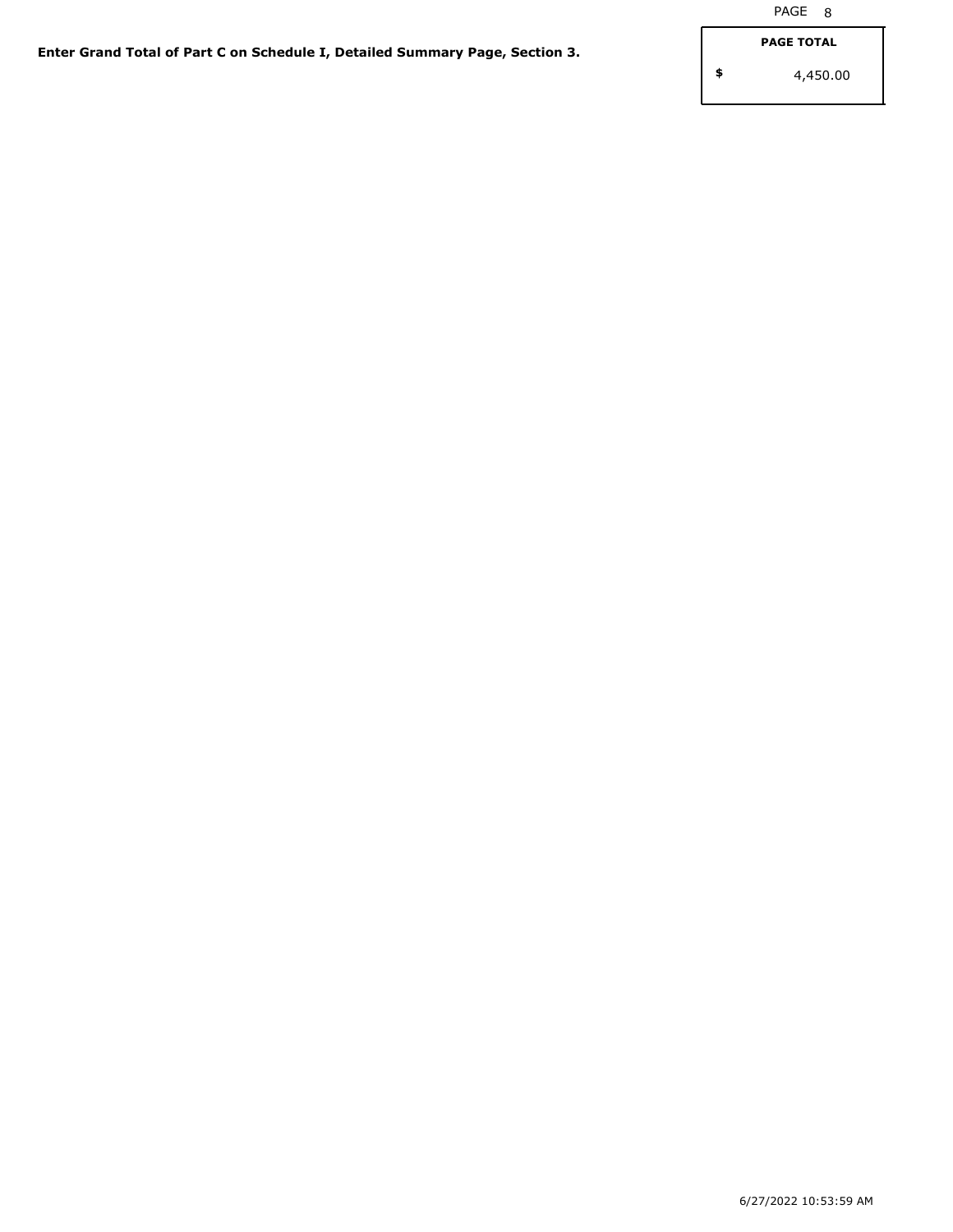**\$**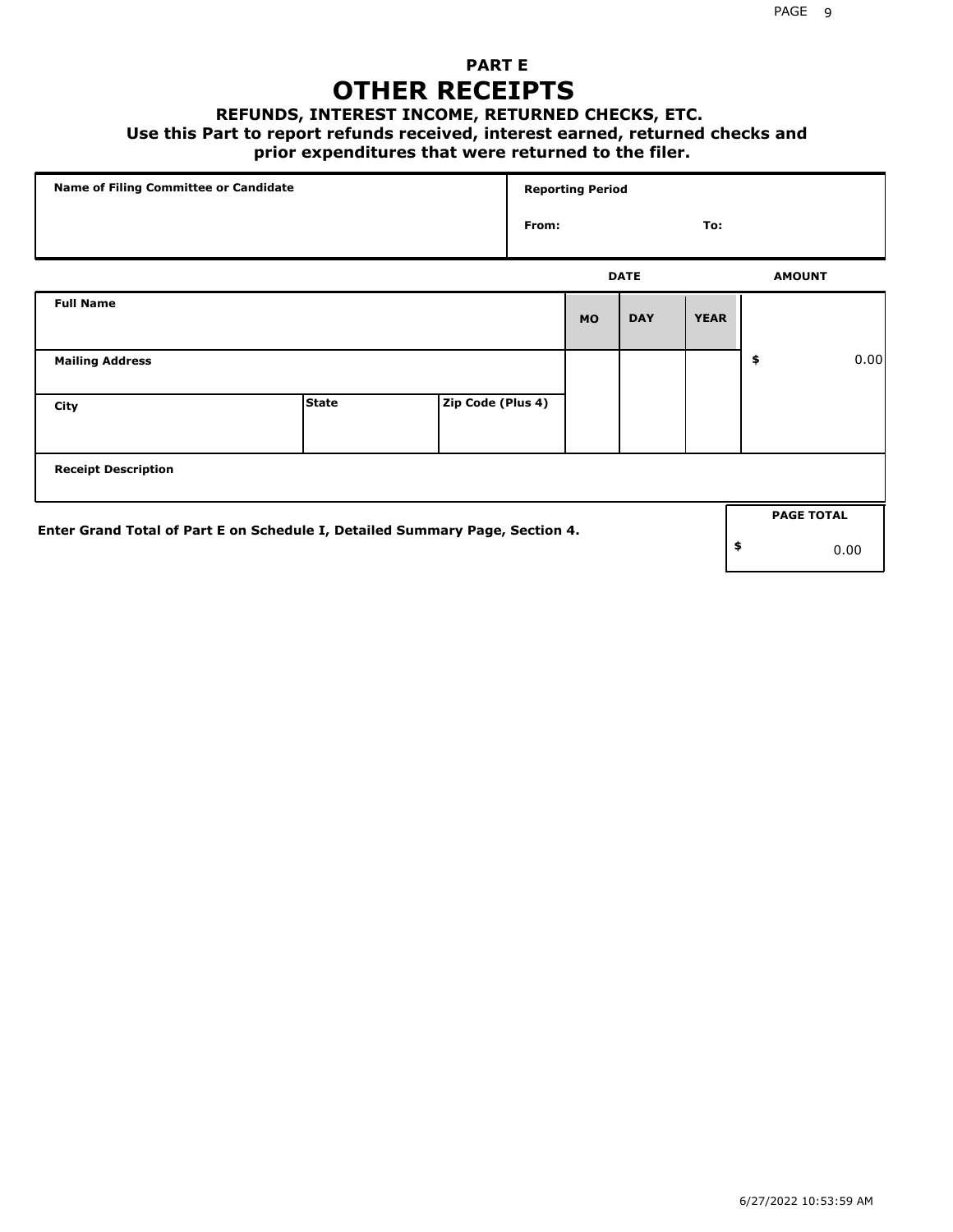## **PART E OTHER RECEIPTS**

#### **REFUNDS, INTEREST INCOME, RETURNED CHECKS, ETC.**

 **Use this Part to report refunds received, interest earned, returned checks and**

### **prior expenditures that were returned to the filer.**

| Name of Filing Committee or Candidate                                        |              |                   |       | <b>Reporting Period</b> |             |             |                   |      |
|------------------------------------------------------------------------------|--------------|-------------------|-------|-------------------------|-------------|-------------|-------------------|------|
|                                                                              |              |                   | From: |                         |             | To:         |                   |      |
|                                                                              |              |                   |       |                         | <b>DATE</b> |             | <b>AMOUNT</b>     |      |
| <b>Full Name</b>                                                             |              |                   |       | <b>MO</b>               | <b>DAY</b>  | <b>YEAR</b> |                   |      |
| <b>Mailing Address</b>                                                       |              |                   |       |                         |             |             | \$                | 0.00 |
| City                                                                         | <b>State</b> | Zip Code (Plus 4) |       |                         |             |             |                   |      |
| <b>Receipt Description</b>                                                   |              |                   |       |                         |             |             |                   |      |
| Enter Grand Total of Part E on Schedule I, Detailed Summary Page, Section 4. |              |                   |       |                         |             |             | <b>PAGE TOTAL</b> |      |
|                                                                              |              |                   |       |                         |             |             | \$                | 0.00 |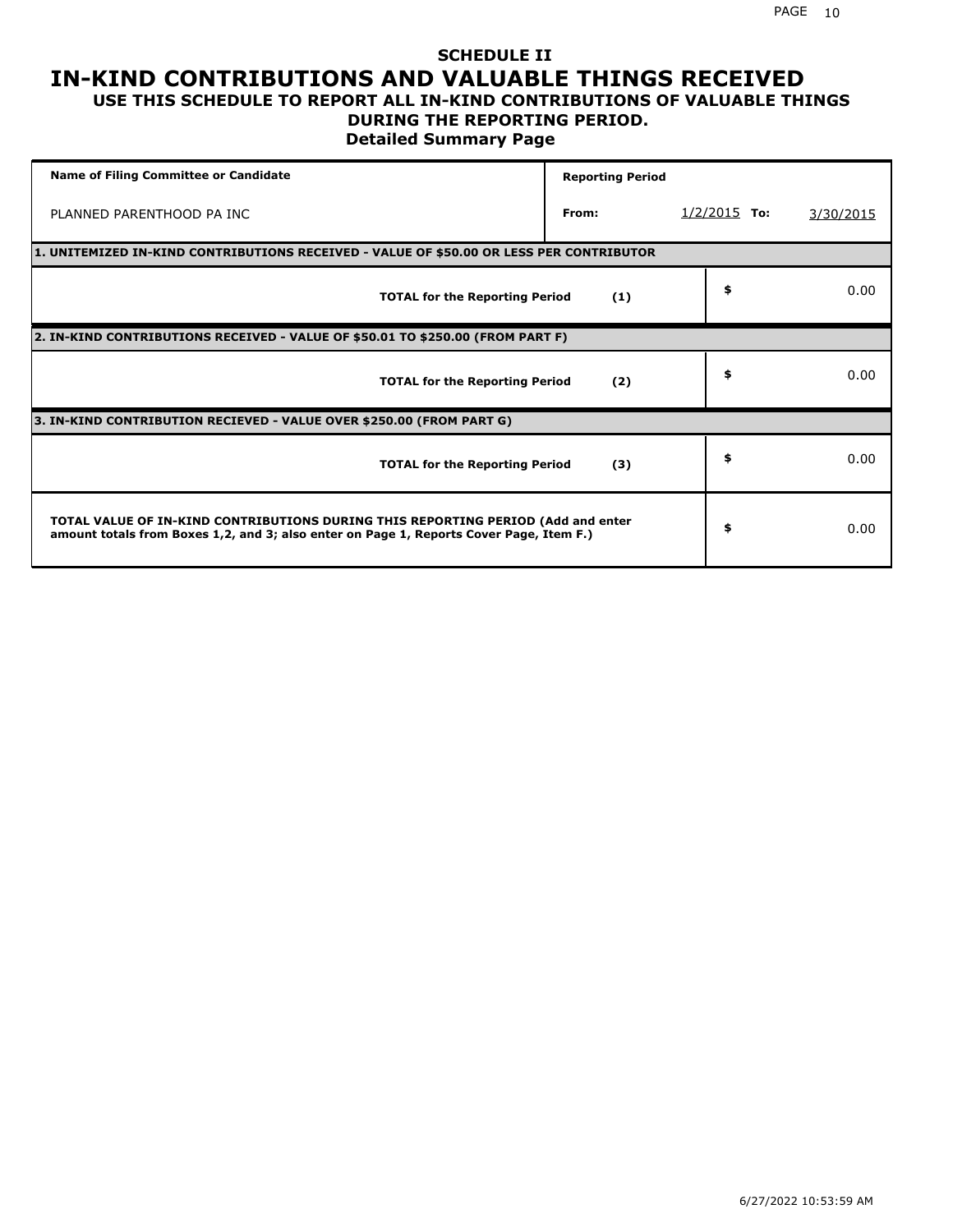#### **SCHEDULE II IN-KIND CONTRIBUTIONS AND VALUABLE THINGS RECEIVED USE THIS SCHEDULE TO REPORT ALL IN-KIND CONTRIBUTIONS OF VALUABLE THINGS**

### **DURING THE REPORTING PERIOD.**

**Detailed Summary Page**

| <b>Name of Filing Committee or Candidate</b>                                                                                                                                | <b>Reporting Period</b> |                |           |
|-----------------------------------------------------------------------------------------------------------------------------------------------------------------------------|-------------------------|----------------|-----------|
| PLANNED PARENTHOOD PA INC                                                                                                                                                   | From:                   | $1/2/2015$ To: | 3/30/2015 |
| 1. UNITEMIZED IN-KIND CONTRIBUTIONS RECEIVED - VALUE OF \$50.00 OR LESS PER CONTRIBUTOR                                                                                     |                         |                |           |
| <b>TOTAL for the Reporting Period</b>                                                                                                                                       | (1)                     | \$             | 0.00      |
| 2. IN-KIND CONTRIBUTIONS RECEIVED - VALUE OF \$50.01 TO \$250.00 (FROM PART F)                                                                                              |                         |                |           |
| <b>TOTAL for the Reporting Period</b>                                                                                                                                       | (2)                     | \$             | 0.00      |
| 3. IN-KIND CONTRIBUTION RECIEVED - VALUE OVER \$250.00 (FROM PART G)                                                                                                        |                         |                |           |
| <b>TOTAL for the Reporting Period</b>                                                                                                                                       | (3)                     | \$             | 0.00      |
| TOTAL VALUE OF IN-KIND CONTRIBUTIONS DURING THIS REPORTING PERIOD (Add and enter<br>amount totals from Boxes 1,2, and 3; also enter on Page 1, Reports Cover Page, Item F.) |                         | \$             | 0.00      |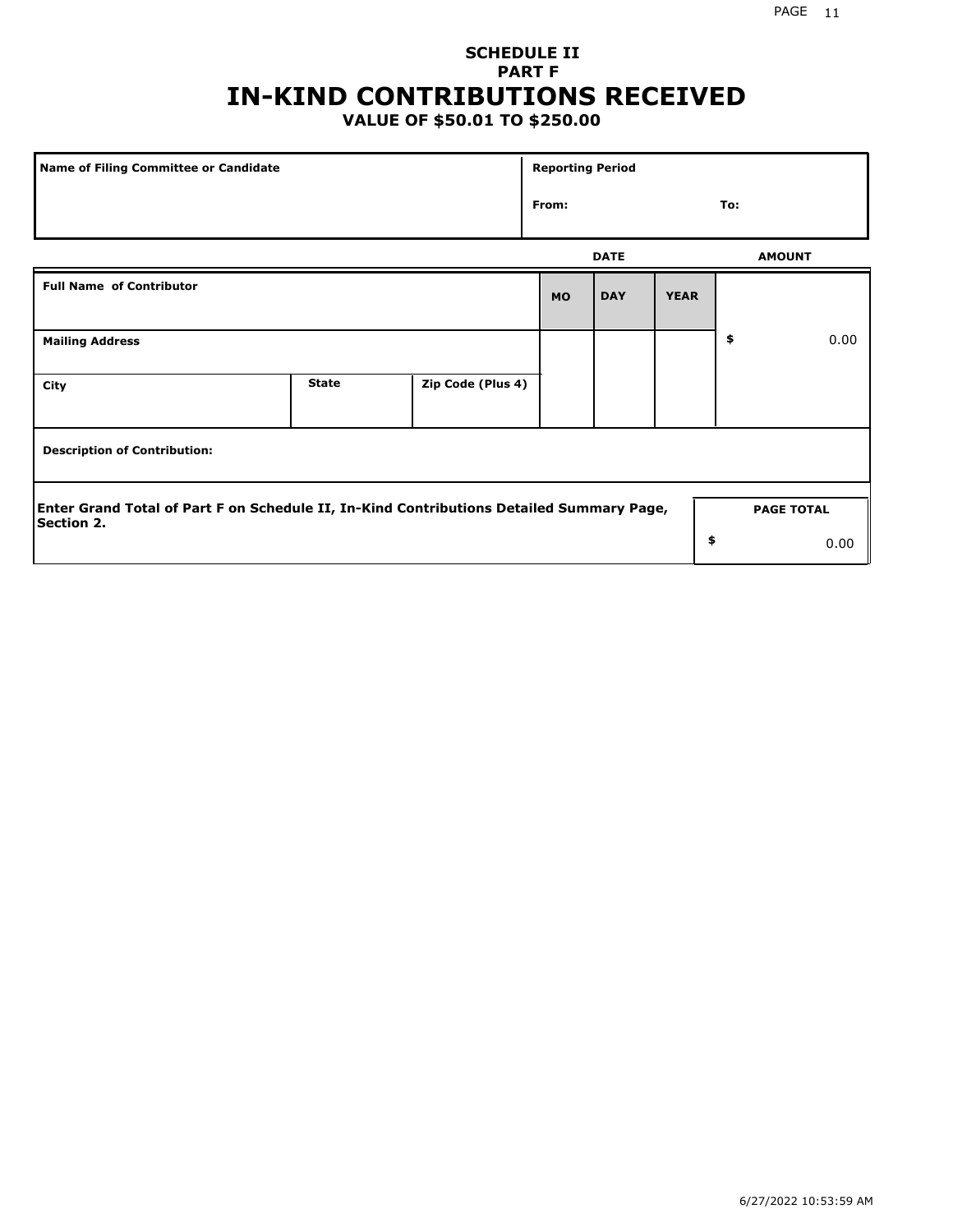## **SCHEDULE II PART F IN-KIND CONTRIBUTIONS RECEIVED**

## **VALUE OF \$50.01 TO \$250.00**

| Name of Filing Committee or Candidate                                                                  |              |                   | <b>Reporting Period</b> |             |             |     |                   |
|--------------------------------------------------------------------------------------------------------|--------------|-------------------|-------------------------|-------------|-------------|-----|-------------------|
|                                                                                                        |              |                   | From:                   |             |             | To: |                   |
|                                                                                                        |              |                   |                         | <b>DATE</b> |             |     | <b>AMOUNT</b>     |
| <b>Full Name of Contributor</b>                                                                        |              |                   | <b>MO</b>               | <b>DAY</b>  | <b>YEAR</b> |     |                   |
| <b>Mailing Address</b>                                                                                 |              |                   |                         |             |             | \$  | 0.00              |
| City                                                                                                   | <b>State</b> | Zip Code (Plus 4) |                         |             |             |     |                   |
| <b>Description of Contribution:</b>                                                                    |              |                   |                         |             |             |     |                   |
| Enter Grand Total of Part F on Schedule II, In-Kind Contributions Detailed Summary Page,<br>Section 2. |              |                   |                         |             |             |     | <b>PAGE TOTAL</b> |
|                                                                                                        |              |                   |                         |             | \$          |     | 0.00              |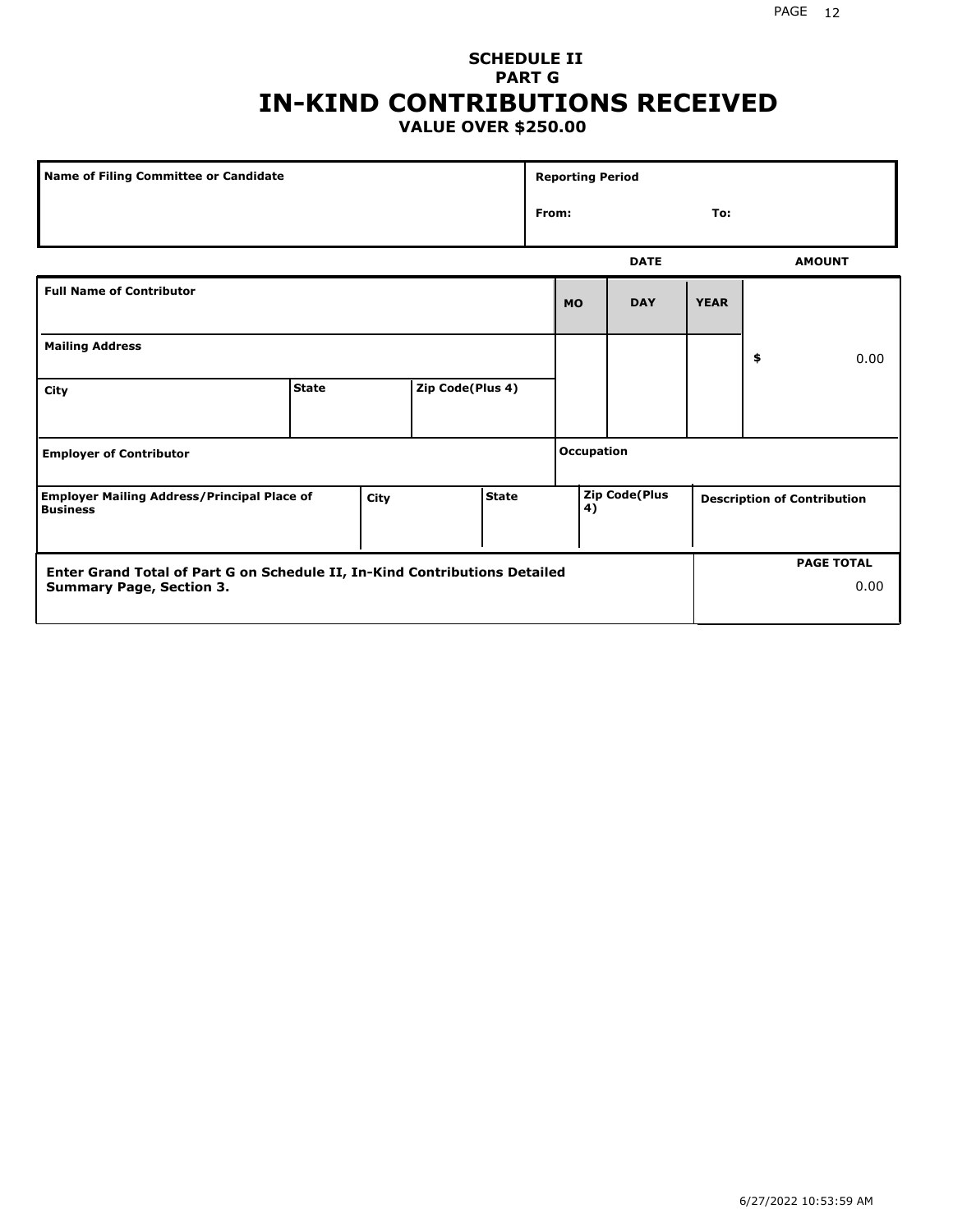#### PAGE 12

#### **SCHEDULE II PART G IN-KIND CONTRIBUTIONS RECEIVED VALUE OVER \$250.00**

| <b>Name of Filing Committee or Candidate</b>                                                                  |              |      |                  |              |       | <b>Reporting Period</b> |                      |             |                                    |
|---------------------------------------------------------------------------------------------------------------|--------------|------|------------------|--------------|-------|-------------------------|----------------------|-------------|------------------------------------|
|                                                                                                               |              |      |                  |              | From: |                         |                      | To:         |                                    |
|                                                                                                               |              |      |                  |              |       |                         | <b>DATE</b>          |             | <b>AMOUNT</b>                      |
| <b>Full Name of Contributor</b>                                                                               |              |      |                  |              |       | <b>MO</b>               | <b>DAY</b>           | <b>YEAR</b> |                                    |
| <b>Mailing Address</b>                                                                                        |              |      |                  |              |       |                         |                      |             | \$<br>0.00                         |
| City                                                                                                          | <b>State</b> |      | Zip Code(Plus 4) |              |       |                         |                      |             |                                    |
| <b>Employer of Contributor</b>                                                                                |              |      |                  |              |       | Occupation              |                      |             |                                    |
| <b>Employer Mailing Address/Principal Place of</b><br><b>Business</b>                                         |              | City |                  | <b>State</b> |       | 4)                      | <b>Zip Code(Plus</b> |             | <b>Description of Contribution</b> |
| Enter Grand Total of Part G on Schedule II, In-Kind Contributions Detailed<br><b>Summary Page, Section 3.</b> |              |      |                  |              |       |                         |                      |             | <b>PAGE TOTAL</b><br>0.00          |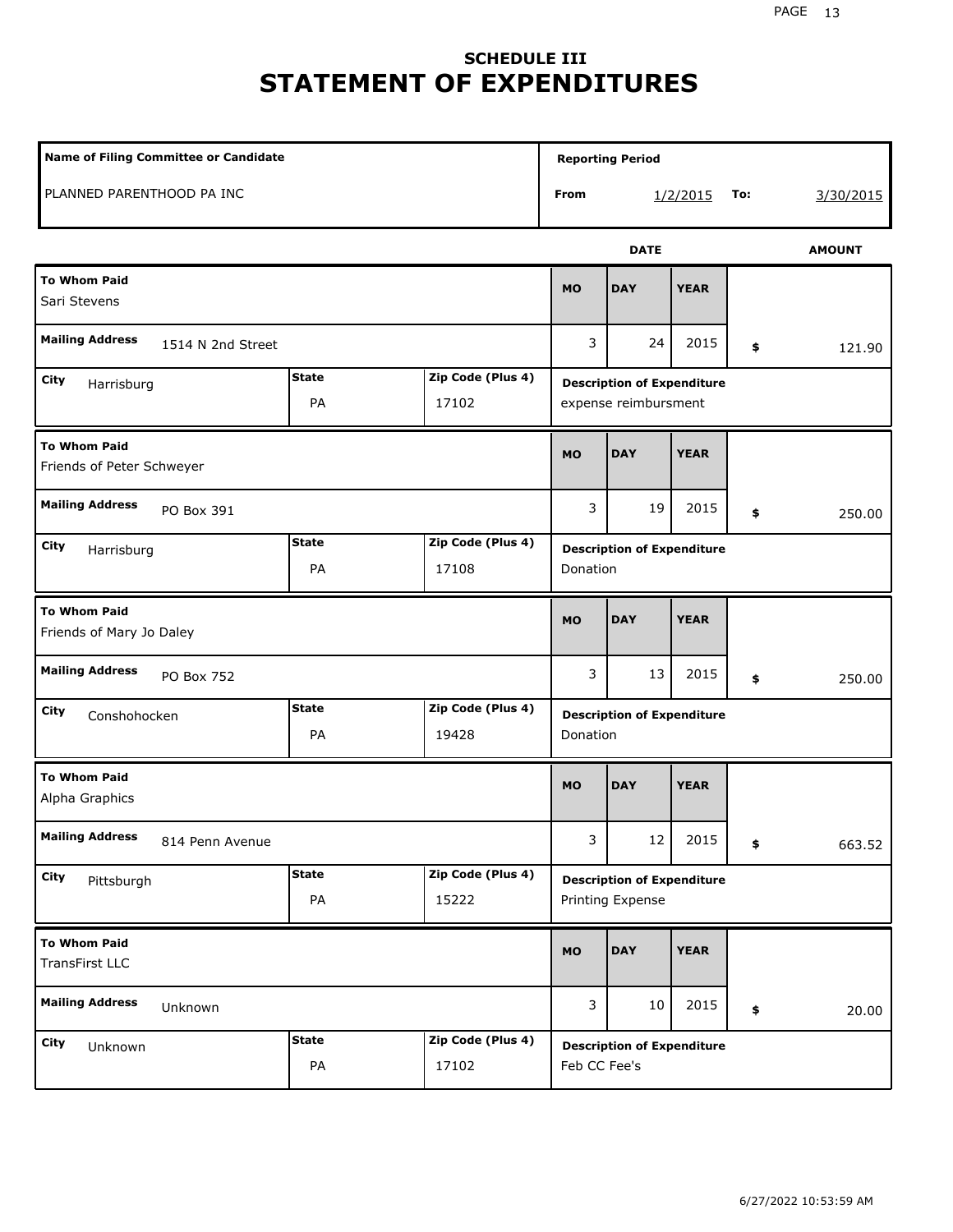# **SCHEDULE III STATEMENT OF EXPENDITURES**

| Name of Filing Committee or Candidate            |                    |                            |              | <b>Reporting Period</b>                                   |             |     |               |
|--------------------------------------------------|--------------------|----------------------------|--------------|-----------------------------------------------------------|-------------|-----|---------------|
| PLANNED PARENTHOOD PA INC                        |                    |                            | From         |                                                           | 1/2/2015    | To: | 3/30/2015     |
|                                                  |                    |                            |              | <b>DATE</b>                                               |             |     | <b>AMOUNT</b> |
| <b>To Whom Paid</b><br>Sari Stevens              |                    |                            | <b>MO</b>    | <b>DAY</b>                                                | <b>YEAR</b> |     |               |
| <b>Mailing Address</b><br>1514 N 2nd Street      |                    |                            | 3            | 24                                                        | 2015        | \$  | 121.90        |
| City<br>Harrisburg                               | <b>State</b><br>PA | Zip Code (Plus 4)<br>17102 |              | <b>Description of Expenditure</b><br>expense reimbursment |             |     |               |
| <b>To Whom Paid</b><br>Friends of Peter Schweyer |                    |                            | <b>MO</b>    | <b>DAY</b>                                                | <b>YEAR</b> |     |               |
| <b>Mailing Address</b><br>PO Box 391             |                    |                            | 3            | 19                                                        | 2015        | \$  | 250.00        |
| City<br>Harrisburg                               | <b>State</b><br>PA | Zip Code (Plus 4)<br>17108 | Donation     | <b>Description of Expenditure</b>                         |             |     |               |
| <b>To Whom Paid</b><br>Friends of Mary Jo Daley  |                    |                            | <b>MO</b>    | <b>DAY</b>                                                | <b>YEAR</b> |     |               |
| <b>Mailing Address</b><br>PO Box 752             |                    |                            | 3            | 13                                                        | 2015        | \$  | 250.00        |
| City<br>Conshohocken                             | <b>State</b><br>PA | Zip Code (Plus 4)<br>19428 | Donation     | <b>Description of Expenditure</b>                         |             |     |               |
| <b>To Whom Paid</b><br>Alpha Graphics            |                    |                            | <b>MO</b>    | <b>DAY</b>                                                | <b>YEAR</b> |     |               |
| <b>Mailing Address</b><br>814 Penn Avenue        |                    |                            | 3            | 12                                                        | 2015        | \$  | 663.52        |
| City<br>Pittsburgh                               | <b>State</b><br>PA | Zip Code (Plus 4)<br>15222 |              | <b>Description of Expenditure</b><br>Printing Expense     |             |     |               |
| <b>To Whom Paid</b><br>TransFirst LLC            |                    |                            | MO           | <b>DAY</b>                                                | <b>YEAR</b> |     |               |
| <b>Mailing Address</b><br>Unknown                |                    |                            | 3            | 10                                                        | 2015        | \$  | 20.00         |
| City<br>Unknown                                  | <b>State</b><br>PA | Zip Code (Plus 4)<br>17102 | Feb CC Fee's | <b>Description of Expenditure</b>                         |             |     |               |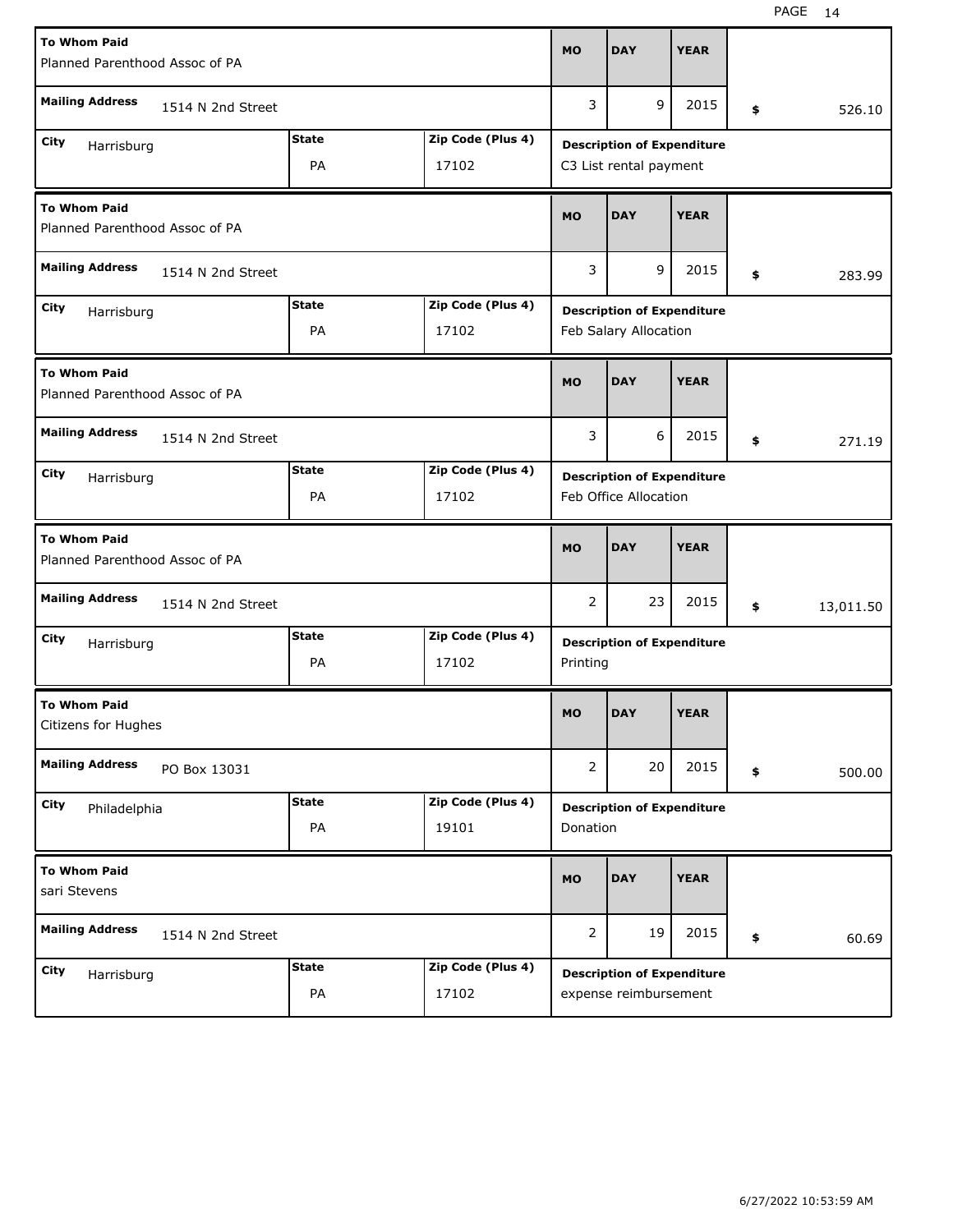| <b>To Whom Paid</b><br>Planned Parenthood Assoc of PA |                   |              |                   | <b>MO</b>      | <b>DAY</b>                        | <b>YEAR</b> |                 |
|-------------------------------------------------------|-------------------|--------------|-------------------|----------------|-----------------------------------|-------------|-----------------|
| <b>Mailing Address</b>                                | 1514 N 2nd Street |              |                   | 3              | 9                                 | 2015        | \$<br>526.10    |
| City<br>Harrisburg                                    |                   | <b>State</b> | Zip Code (Plus 4) |                | <b>Description of Expenditure</b> |             |                 |
|                                                       |                   | PA           | 17102             |                | C3 List rental payment            |             |                 |
| <b>To Whom Paid</b><br>Planned Parenthood Assoc of PA |                   |              |                   | <b>MO</b>      | <b>DAY</b>                        | <b>YEAR</b> |                 |
| <b>Mailing Address</b>                                | 1514 N 2nd Street |              |                   | 3              | 9                                 | 2015        | \$<br>283.99    |
| City<br>Harrisburg                                    |                   | <b>State</b> | Zip Code (Plus 4) |                | <b>Description of Expenditure</b> |             |                 |
|                                                       |                   | PA           | 17102             |                | Feb Salary Allocation             |             |                 |
| <b>To Whom Paid</b><br>Planned Parenthood Assoc of PA |                   |              |                   | <b>MO</b>      | <b>DAY</b>                        | <b>YEAR</b> |                 |
| <b>Mailing Address</b>                                | 1514 N 2nd Street |              |                   | 3<br>6         |                                   | 2015        | \$<br>271.19    |
| City<br>Harrisburg                                    |                   | <b>State</b> | Zip Code (Plus 4) |                | <b>Description of Expenditure</b> |             |                 |
|                                                       |                   | PA           | 17102             |                | Feb Office Allocation             |             |                 |
|                                                       |                   |              |                   |                |                                   |             |                 |
| <b>To Whom Paid</b><br>Planned Parenthood Assoc of PA |                   |              |                   | <b>MO</b>      | <b>DAY</b>                        | <b>YEAR</b> |                 |
| <b>Mailing Address</b>                                | 1514 N 2nd Street |              |                   | 2              | 23                                | 2015        | \$<br>13,011.50 |
| City                                                  |                   | <b>State</b> | Zip Code (Plus 4) |                |                                   |             |                 |
| Harrisburg                                            |                   | PA           | 17102             | Printing       | <b>Description of Expenditure</b> |             |                 |
| <b>To Whom Paid</b><br>Citizens for Hughes            |                   |              |                   | <b>MO</b>      | <b>DAY</b>                        | <b>YEAR</b> |                 |
| <b>Mailing Address</b>                                | PO Box 13031      |              |                   | 2              | 20                                | 2015        | \$<br>500.00    |
| City                                                  |                   | <b>State</b> | Zip Code (Plus 4) |                | <b>Description of Expenditure</b> |             |                 |
| Philadelphia                                          |                   | PA           | 19101             | Donation       |                                   |             |                 |
| <b>To Whom Paid</b><br>sari Stevens                   |                   |              |                   | <b>MO</b>      | <b>DAY</b>                        | <b>YEAR</b> |                 |
| <b>Mailing Address</b>                                | 1514 N 2nd Street |              |                   | $\overline{2}$ | 19                                | 2015        | \$<br>60.69     |
| City<br>Harrisburg                                    |                   | <b>State</b> | Zip Code (Plus 4) |                | <b>Description of Expenditure</b> |             |                 |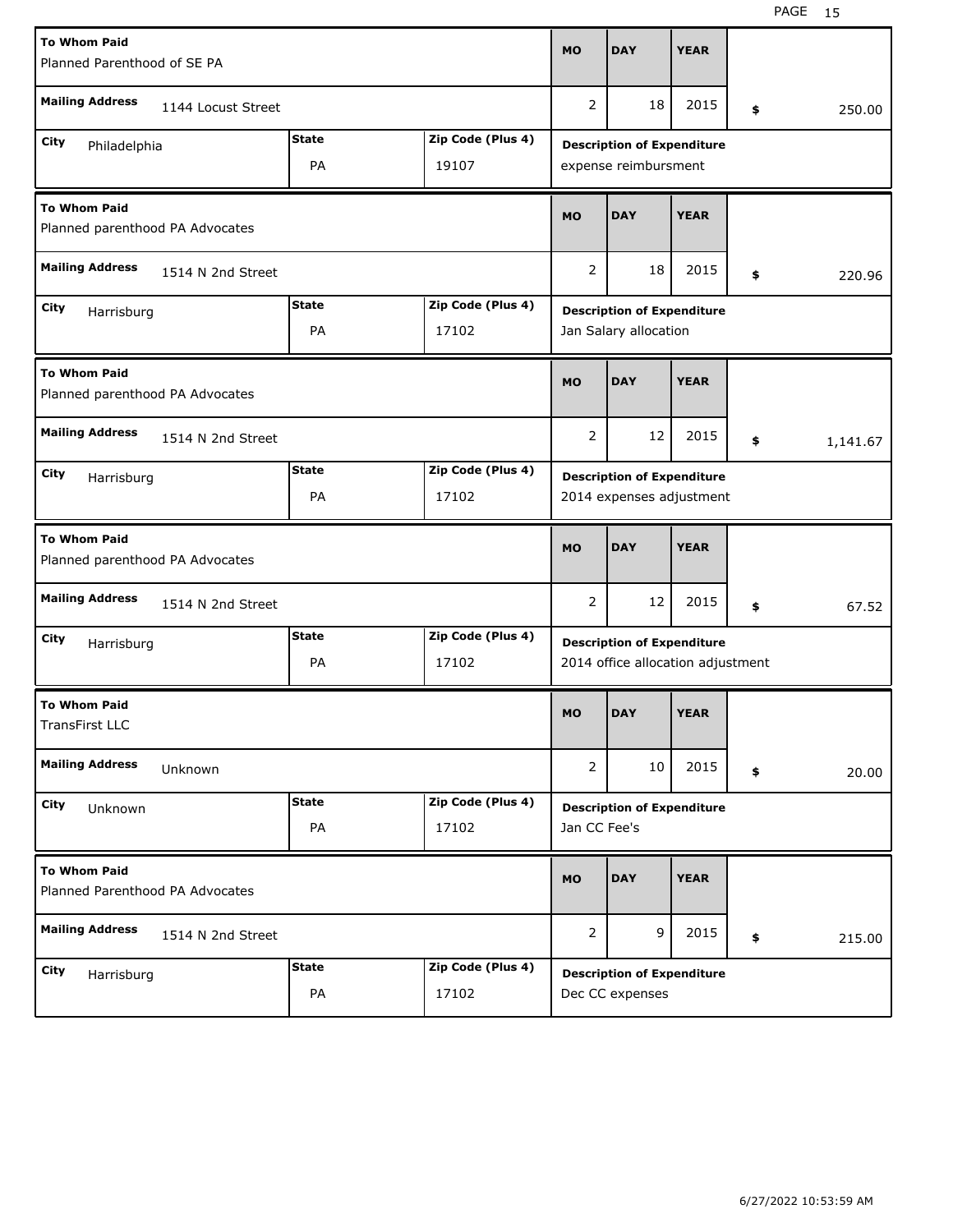| <b>To Whom Paid</b>                                       |                   |              |                   |                                   |                                                                        |             |                          |          |  |  |  |  |  |
|-----------------------------------------------------------|-------------------|--------------|-------------------|-----------------------------------|------------------------------------------------------------------------|-------------|--------------------------|----------|--|--|--|--|--|
| Planned Parenthood of SE PA                               |                   |              |                   |                                   | <b>DAY</b>                                                             | <b>YEAR</b> |                          |          |  |  |  |  |  |
| <b>Mailing Address</b><br>1144 Locust Street              |                   |              |                   |                                   | 18                                                                     | 2015        | \$                       | 250.00   |  |  |  |  |  |
| Zip Code (Plus 4)<br><b>State</b><br>City<br>Philadelphia |                   |              |                   |                                   |                                                                        |             |                          |          |  |  |  |  |  |
| PA<br>19107                                               |                   |              |                   |                                   | <b>Description of Expenditure</b><br>expense reimbursment              |             |                          |          |  |  |  |  |  |
| <b>To Whom Paid</b><br>Planned parenthood PA Advocates    |                   |              |                   | <b>MO</b>                         | <b>DAY</b>                                                             | <b>YEAR</b> |                          |          |  |  |  |  |  |
| <b>Mailing Address</b><br>1514 N 2nd Street               |                   |              |                   | 2                                 | 18                                                                     | 2015        | \$                       | 220.96   |  |  |  |  |  |
| City<br>Harrisburg                                        |                   | <b>State</b> | Zip Code (Plus 4) | <b>Description of Expenditure</b> |                                                                        |             |                          |          |  |  |  |  |  |
|                                                           |                   | PA           | 17102             | Jan Salary allocation             |                                                                        |             |                          |          |  |  |  |  |  |
| <b>To Whom Paid</b><br>Planned parenthood PA Advocates    |                   |              |                   |                                   | <b>DAY</b>                                                             | <b>YEAR</b> |                          |          |  |  |  |  |  |
| <b>Mailing Address</b><br>1514 N 2nd Street               |                   |              |                   |                                   | 12                                                                     | 2015        | \$                       | 1,141.67 |  |  |  |  |  |
| City<br>Harrisburg                                        |                   | <b>State</b> | Zip Code (Plus 4) | <b>Description of Expenditure</b> |                                                                        |             |                          |          |  |  |  |  |  |
|                                                           |                   | PA           | 17102             |                                   |                                                                        |             | 2014 expenses adjustment |          |  |  |  |  |  |
| <b>To Whom Paid</b><br>Planned parenthood PA Advocates    |                   |              |                   |                                   |                                                                        |             |                          |          |  |  |  |  |  |
|                                                           |                   |              |                   | <b>MO</b>                         | <b>DAY</b>                                                             | <b>YEAR</b> |                          |          |  |  |  |  |  |
| <b>Mailing Address</b>                                    | 1514 N 2nd Street |              |                   | $\overline{2}$                    | 12                                                                     | 2015        | \$                       | 67.52    |  |  |  |  |  |
| City                                                      |                   | <b>State</b> | Zip Code (Plus 4) |                                   |                                                                        |             |                          |          |  |  |  |  |  |
| Harrisburg                                                |                   | PA           | 17102             |                                   | <b>Description of Expenditure</b><br>2014 office allocation adjustment |             |                          |          |  |  |  |  |  |
| <b>To Whom Paid</b><br><b>TransFirst LLC</b>              |                   |              |                   | <b>MO</b>                         | <b>DAY</b>                                                             | <b>YEAR</b> |                          |          |  |  |  |  |  |
| <b>Mailing Address</b>                                    | Unknown           |              |                   | $\overline{2}$                    | 10                                                                     | 2015        | \$                       | 20.00    |  |  |  |  |  |
| City                                                      |                   | <b>State</b> | Zip Code (Plus 4) |                                   |                                                                        |             |                          |          |  |  |  |  |  |
| Unknown                                                   |                   | PA           | 17102             | Jan CC Fee's                      | <b>Description of Expenditure</b>                                      |             |                          |          |  |  |  |  |  |
| <b>To Whom Paid</b><br>Planned Parenthood PA Advocates    |                   |              |                   | <b>MO</b>                         | <b>DAY</b>                                                             | <b>YEAR</b> |                          |          |  |  |  |  |  |
| <b>Mailing Address</b>                                    | 1514 N 2nd Street |              |                   | 2                                 | 9                                                                      | 2015        | \$                       | 215.00   |  |  |  |  |  |
| <b>City</b><br>Harrisburg                                 |                   | <b>State</b> | Zip Code (Plus 4) |                                   | <b>Description of Expenditure</b>                                      |             |                          |          |  |  |  |  |  |

H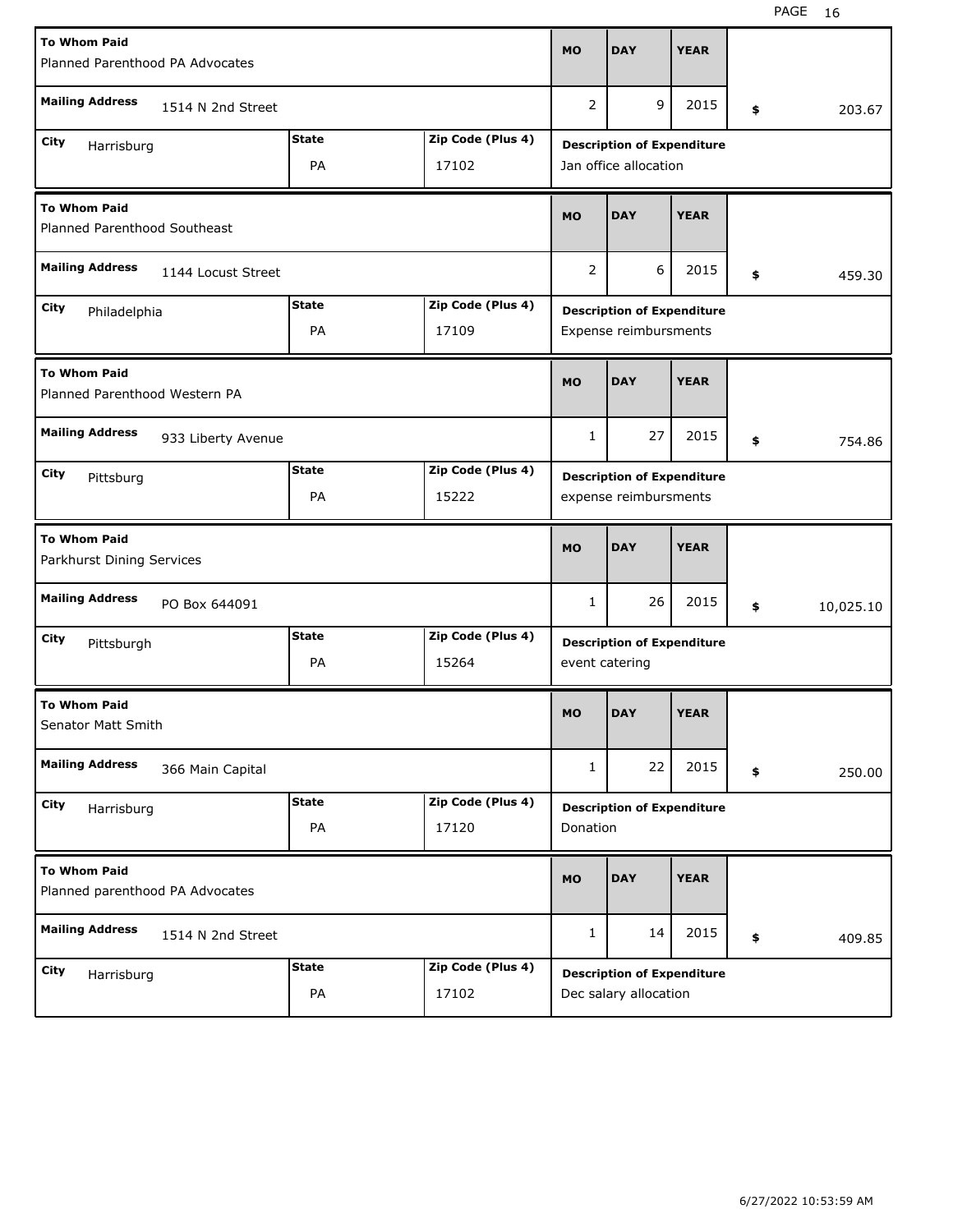| <b>To Whom Paid</b>                                    | <b>MO</b>      | <b>DAY</b>                        | <b>YEAR</b>                                                |                                   |             |    |           |  |  |
|--------------------------------------------------------|----------------|-----------------------------------|------------------------------------------------------------|-----------------------------------|-------------|----|-----------|--|--|
| Planned Parenthood PA Advocates                        |                |                                   |                                                            |                                   |             |    |           |  |  |
| <b>Mailing Address</b><br>1514 N 2nd Street            | $\overline{2}$ | 9                                 | 2015                                                       | \$                                | 203.67      |    |           |  |  |
| City<br>Harrisburg                                     |                | <b>Description of Expenditure</b> |                                                            |                                   |             |    |           |  |  |
|                                                        |                | Jan office allocation             |                                                            |                                   |             |    |           |  |  |
| <b>To Whom Paid</b><br>Planned Parenthood Southeast    |                |                                   |                                                            | <b>DAY</b>                        | <b>YEAR</b> |    |           |  |  |
| <b>Mailing Address</b><br>1144 Locust Street           |                |                                   |                                                            | 6                                 | 2015        | \$ | 459.30    |  |  |
| City<br>Philadelphia                                   | <b>State</b>   | Zip Code (Plus 4)                 | <b>Description of Expenditure</b>                          |                                   |             |    |           |  |  |
|                                                        | PA             | 17109                             | Expense reimbursments                                      |                                   |             |    |           |  |  |
| <b>To Whom Paid</b><br>Planned Parenthood Western PA   | <b>MO</b>      | <b>DAY</b>                        | <b>YEAR</b>                                                |                                   |             |    |           |  |  |
| <b>Mailing Address</b><br>933 Liberty Avenue           | $\mathbf{1}$   | 27                                | 2015                                                       | \$                                | 754.86      |    |           |  |  |
| City<br>Pittsburg                                      | <b>State</b>   | Zip Code (Plus 4)                 |                                                            |                                   |             |    |           |  |  |
|                                                        | PA             | 15222                             | <b>Description of Expenditure</b><br>expense reimbursments |                                   |             |    |           |  |  |
| <b>To Whom Paid</b><br>Parkhurst Dining Services       |                |                                   |                                                            |                                   |             |    |           |  |  |
|                                                        |                |                                   | <b>MO</b>                                                  | <b>DAY</b>                        | <b>YEAR</b> |    |           |  |  |
| <b>Mailing Address</b><br>PO Box 644091                |                |                                   | $\mathbf{1}$                                               | 26                                | 2015        | \$ | 10,025.10 |  |  |
| City                                                   | <b>State</b>   | Zip Code (Plus 4)                 |                                                            | <b>Description of Expenditure</b> |             |    |           |  |  |
| Pittsburgh                                             | PA             | 15264                             | event catering                                             |                                   |             |    |           |  |  |
| <b>To Whom Paid</b><br>Senator Matt Smith              |                |                                   | <b>MO</b>                                                  | <b>DAY</b>                        | <b>YEAR</b> |    |           |  |  |
| <b>Mailing Address</b><br>366 Main Capital             |                |                                   | $\mathbf{1}$                                               | 22                                | 2015        | \$ | 250.00    |  |  |
| City                                                   | <b>State</b>   | Zip Code (Plus 4)                 |                                                            |                                   |             |    |           |  |  |
| Harrisburg                                             | PA             | 17120                             | Donation                                                   | <b>Description of Expenditure</b> |             |    |           |  |  |
| <b>To Whom Paid</b><br>Planned parenthood PA Advocates |                |                                   | <b>MO</b>                                                  | <b>DAY</b>                        | <b>YEAR</b> |    |           |  |  |
| <b>Mailing Address</b><br>1514 N 2nd Street            |                |                                   | 1                                                          | 14                                | 2015        | \$ | 409.85    |  |  |
| City<br>Harrisburg                                     | <b>State</b>   | Zip Code (Plus 4)                 |                                                            | <b>Description of Expenditure</b> |             |    |           |  |  |

H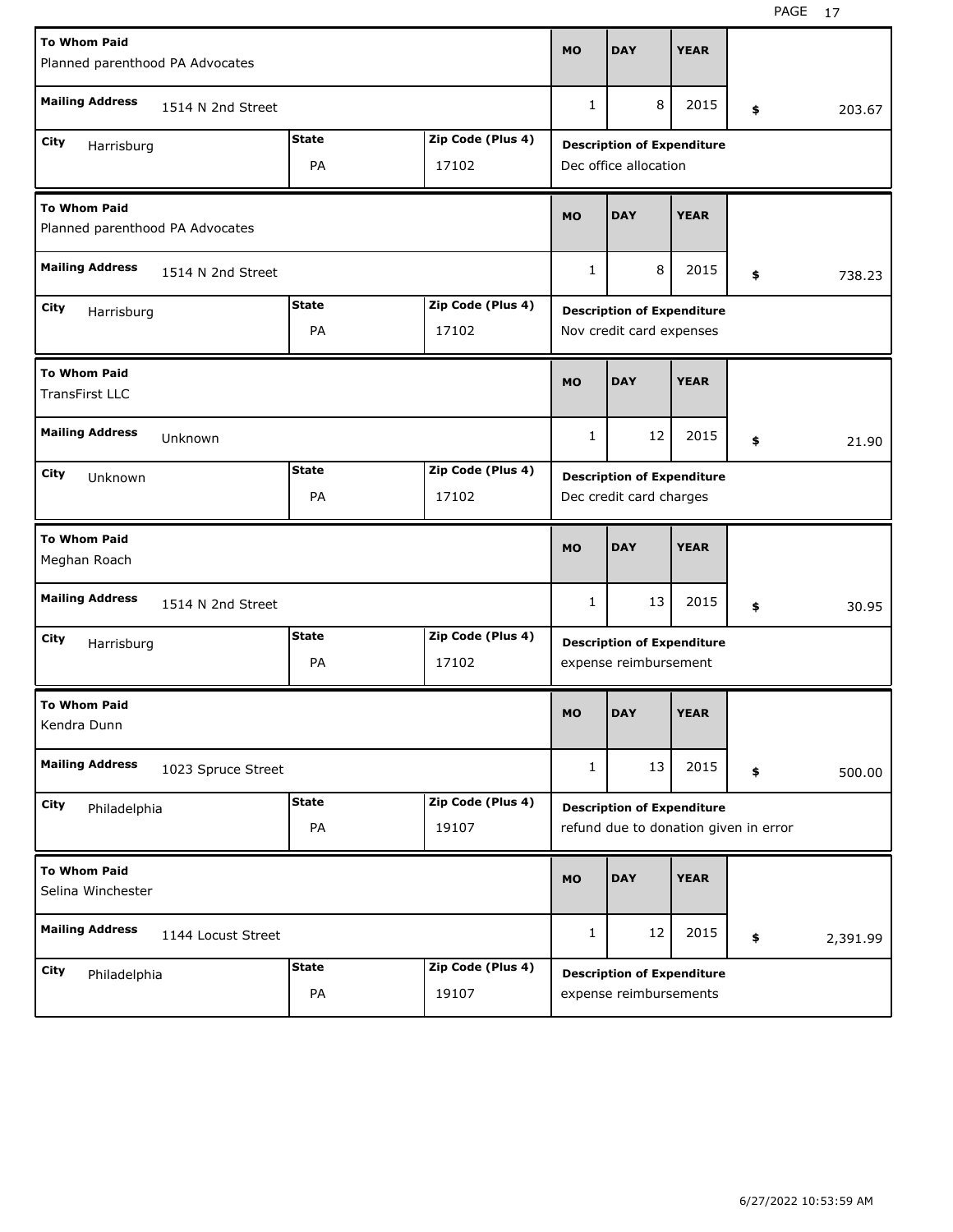| <b>To Whom Paid</b><br>Planned parenthood PA Advocates |                    |                                   |                   |                                                               | <b>DAY</b>                                                 | <b>YEAR</b>             |    |          |  |  |  |
|--------------------------------------------------------|--------------------|-----------------------------------|-------------------|---------------------------------------------------------------|------------------------------------------------------------|-------------------------|----|----------|--|--|--|
| <b>Mailing Address</b><br>1514 N 2nd Street            |                    |                                   |                   | 1                                                             | 8                                                          | 2015                    | \$ | 203.67   |  |  |  |
| City                                                   |                    | <b>State</b>                      | Zip Code (Plus 4) |                                                               |                                                            |                         |    |          |  |  |  |
| Harrisburg<br><b>PA</b><br>17102                       |                    |                                   |                   |                                                               | <b>Description of Expenditure</b><br>Dec office allocation |                         |    |          |  |  |  |
| <b>To Whom Paid</b><br>Planned parenthood PA Advocates |                    |                                   |                   | <b>MO</b>                                                     | <b>DAY</b>                                                 | <b>YEAR</b>             |    |          |  |  |  |
| <b>Mailing Address</b><br>1514 N 2nd Street            |                    |                                   |                   | $\mathbf{1}$                                                  | 8                                                          | 2015                    | \$ | 738.23   |  |  |  |
| City<br>Harrisburg                                     |                    | <b>State</b><br>Zip Code (Plus 4) |                   |                                                               |                                                            |                         |    |          |  |  |  |
|                                                        |                    | PA                                | 17102             | <b>Description of Expenditure</b><br>Nov credit card expenses |                                                            |                         |    |          |  |  |  |
| <b>To Whom Paid</b><br><b>TransFirst LLC</b>           |                    |                                   |                   | <b>MO</b>                                                     | <b>DAY</b>                                                 | <b>YEAR</b>             |    |          |  |  |  |
| <b>Mailing Address</b><br>Unknown                      |                    |                                   |                   |                                                               | 12                                                         | 2015                    | \$ | 21.90    |  |  |  |
| City<br>Unknown                                        |                    | <b>State</b>                      | Zip Code (Plus 4) | <b>Description of Expenditure</b>                             |                                                            |                         |    |          |  |  |  |
|                                                        |                    | PA<br>17102                       |                   |                                                               |                                                            | Dec credit card charges |    |          |  |  |  |
| <b>To Whom Paid</b><br>Meghan Roach                    |                    |                                   |                   |                                                               |                                                            |                         |    |          |  |  |  |
|                                                        |                    |                                   |                   | <b>MO</b>                                                     | <b>DAY</b>                                                 | <b>YEAR</b>             |    |          |  |  |  |
| <b>Mailing Address</b>                                 | 1514 N 2nd Street  |                                   |                   | 1                                                             | 13                                                         | 2015                    | \$ | 30.95    |  |  |  |
| City                                                   |                    | <b>State</b>                      | Zip Code (Plus 4) |                                                               | <b>Description of Expenditure</b>                          |                         |    |          |  |  |  |
| Harrisburg                                             |                    | PA                                | 17102             |                                                               | expense reimbursement                                      |                         |    |          |  |  |  |
| <b>To Whom Paid</b><br>Kendra Dunn                     |                    |                                   |                   | <b>MO</b>                                                     | <b>DAY</b>                                                 | <b>YEAR</b>             |    |          |  |  |  |
| <b>Mailing Address</b>                                 | 1023 Spruce Street |                                   |                   | $\mathbf{1}$                                                  | 13                                                         | 2015                    | \$ | 500.00   |  |  |  |
| City                                                   |                    | <b>State</b>                      | Zip Code (Plus 4) |                                                               | <b>Description of Expenditure</b>                          |                         |    |          |  |  |  |
| Philadelphia                                           |                    | PA                                | 19107             |                                                               | refund due to donation given in error                      |                         |    |          |  |  |  |
| <b>To Whom Paid</b><br>Selina Winchester               |                    |                                   |                   | <b>MO</b>                                                     | <b>DAY</b>                                                 | <b>YEAR</b>             |    |          |  |  |  |
| <b>Mailing Address</b>                                 | 1144 Locust Street |                                   |                   | $\mathbf{1}$                                                  | 12                                                         | 2015                    | \$ | 2,391.99 |  |  |  |
| City<br>Philadelphia                                   |                    | <b>State</b>                      | Zip Code (Plus 4) |                                                               | <b>Description of Expenditure</b>                          |                         |    |          |  |  |  |